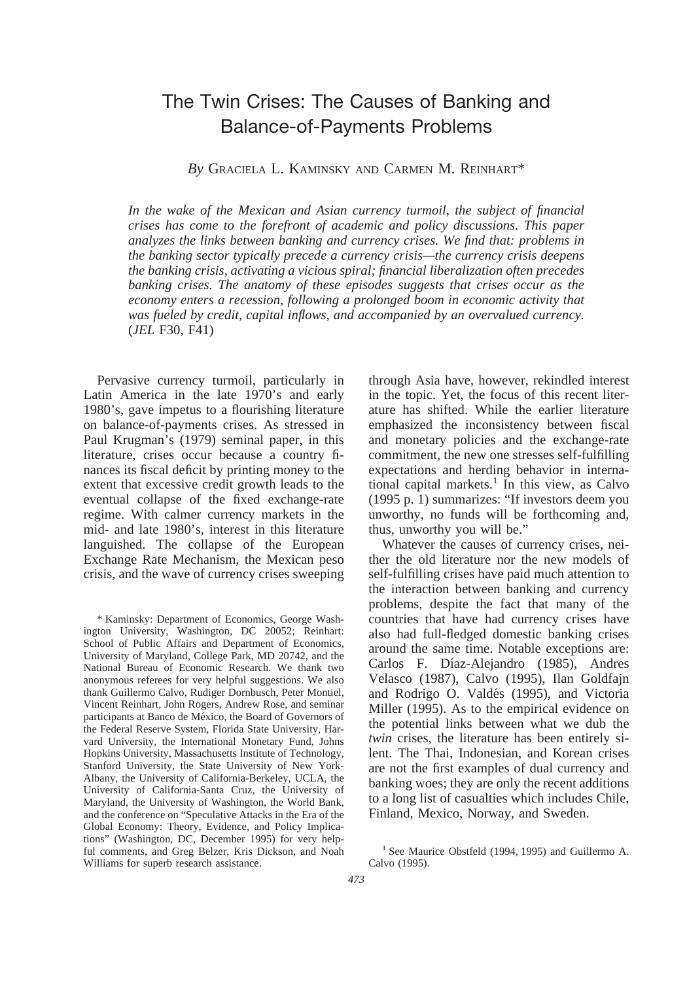# The Twin Crises: The Causes of Banking and Balance-of-Payments Problems

*By* GRACIELA L. KAMINSKY AND CARMEN M. REINHART\*

*In the wake of the Mexican and Asian currency turmoil, the subject of financial crises has come to the forefront of academic and policy discussions. This paper analyzes the links between banking and currency crises. We find that: problems in the banking sector typically precede a currency crisis—the currency crisis deepens the banking crisis, activating a vicious spiral; financial liberalization often precedes banking crises. The anatomy of these episodes suggests that crises occur as the economy enters a recession, following a prolonged boom in economic activity that was fueled by credit, capital inflows, and accompanied by an overvalued currency.* (*JEL* F30, F41)

Pervasive currency turmoil, particularly in Latin America in the late 1970's and early 1980's, gave impetus to a flourishing literature on balance-of-payments crises. As stressed in Paul Krugman's (1979) seminal paper, in this literature, crises occur because a country finances its fiscal deficit by printing money to the extent that excessive credit growth leads to the eventual collapse of the fixed exchange-rate regime. With calmer currency markets in the mid- and late 1980's, interest in this literature languished. The collapse of the European Exchange Rate Mechanism, the Mexican peso crisis, and the wave of currency crises sweeping

\* Kaminsky: Department of Economics, George Washington University, Washington, DC 20052; Reinhart: School of Public Affairs and Department of Economics, University of Maryland, College Park, MD 20742, and the National Bureau of Economic Research. We thank two anonymous referees for very helpful suggestions. We also thank Guillermo Calvo, Rudiger Dornbusch, Peter Montiel, Vincent Reinhart, John Rogers, Andrew Rose, and seminar participants at Banco de México, the Board of Governors of the Federal Reserve System, Florida State University, Harvard University, the International Monetary Fund, Johns Hopkins University, Massachusetts Institute of Technology, Stanford University, the State University of New York-Albany, the University of California-Berkeley, UCLA, the University of California-Santa Cruz, the University of Maryland, the University of Washington, the World Bank, and the conference on "Speculative Attacks in the Era of the Global Economy: Theory, Evidence, and Policy Implications" (Washington, DC, December 1995) for very helpful comments, and Greg Belzer, Kris Dickson, and Noah Williams for superb research assistance.

through Asia have, however, rekindled interest in the topic. Yet, the focus of this recent literature has shifted. While the earlier literature emphasized the inconsistency between fiscal and monetary policies and the exchange-rate commitment, the new one stresses self-fulfilling expectations and herding behavior in international capital markets.<sup>1</sup> In this view, as Calvo (1995 p. 1) summarizes: "If investors deem you unworthy, no funds will be forthcoming and, thus, unworthy you will be."

Whatever the causes of currency crises, neither the old literature nor the new models of self-fulfilling crises have paid much attention to the interaction between banking and currency problems, despite the fact that many of the countries that have had currency crises have also had full-fledged domestic banking crises around the same time. Notable exceptions are: Carlos F. Díaz-Alejandro (1985), Andres Velasco (1987), Calvo (1995), Ilan Goldfajn and Rodrigo O. Valdés (1995), and Victoria Miller (1995). As to the empirical evidence on the potential links between what we dub the *twin* crises, the literature has been entirely silent. The Thai, Indonesian, and Korean crises are not the first examples of dual currency and banking woes; they are only the recent additions to a long list of casualties which includes Chile, Finland, Mexico, Norway, and Sweden.

<sup>&</sup>lt;sup>1</sup> See Maurice Obstfeld (1994, 1995) and Guillermo A. Calvo (1995).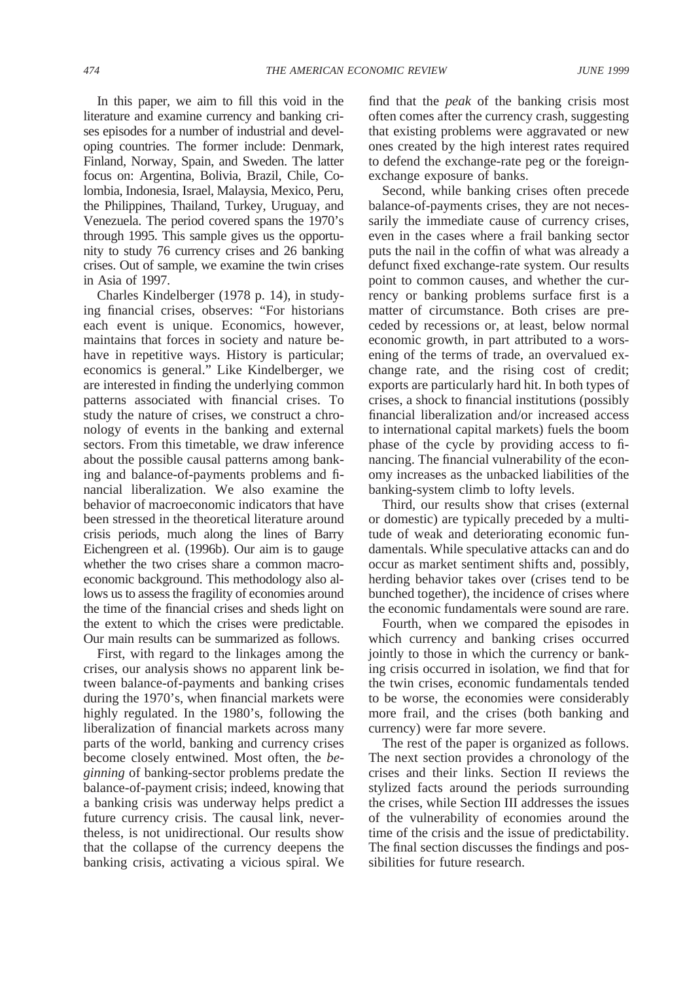In this paper, we aim to fill this void in the literature and examine currency and banking crises episodes for a number of industrial and developing countries. The former include: Denmark, Finland, Norway, Spain, and Sweden. The latter focus on: Argentina, Bolivia, Brazil, Chile, Colombia, Indonesia, Israel, Malaysia, Mexico, Peru, the Philippines, Thailand, Turkey, Uruguay, and Venezuela. The period covered spans the 1970's through 1995. This sample gives us the opportunity to study 76 currency crises and 26 banking crises. Out of sample, we examine the twin crises in Asia of 1997.

Charles Kindelberger (1978 p. 14), in studying financial crises, observes: "For historians each event is unique. Economics, however, maintains that forces in society and nature behave in repetitive ways. History is particular; economics is general." Like Kindelberger, we are interested in finding the underlying common patterns associated with financial crises. To study the nature of crises, we construct a chronology of events in the banking and external sectors. From this timetable, we draw inference about the possible causal patterns among banking and balance-of-payments problems and financial liberalization. We also examine the behavior of macroeconomic indicators that have been stressed in the theoretical literature around crisis periods, much along the lines of Barry Eichengreen et al. (1996b). Our aim is to gauge whether the two crises share a common macroeconomic background. This methodology also allows us to assess the fragility of economies around the time of the financial crises and sheds light on the extent to which the crises were predictable. Our main results can be summarized as follows.

First, with regard to the linkages among the crises, our analysis shows no apparent link between balance-of-payments and banking crises during the 1970's, when financial markets were highly regulated. In the 1980's, following the liberalization of financial markets across many parts of the world, banking and currency crises become closely entwined. Most often, the *beginning* of banking-sector problems predate the balance-of-payment crisis; indeed, knowing that a banking crisis was underway helps predict a future currency crisis. The causal link, nevertheless, is not unidirectional. Our results show that the collapse of the currency deepens the banking crisis, activating a vicious spiral. We

find that the *peak* of the banking crisis most often comes after the currency crash, suggesting that existing problems were aggravated or new ones created by the high interest rates required to defend the exchange-rate peg or the foreignexchange exposure of banks.

Second, while banking crises often precede balance-of-payments crises, they are not necessarily the immediate cause of currency crises, even in the cases where a frail banking sector puts the nail in the coffin of what was already a defunct fixed exchange-rate system. Our results point to common causes, and whether the currency or banking problems surface first is a matter of circumstance. Both crises are preceded by recessions or, at least, below normal economic growth, in part attributed to a worsening of the terms of trade, an overvalued exchange rate, and the rising cost of credit; exports are particularly hard hit. In both types of crises, a shock to financial institutions (possibly financial liberalization and/or increased access to international capital markets) fuels the boom phase of the cycle by providing access to financing. The financial vulnerability of the economy increases as the unbacked liabilities of the banking-system climb to lofty levels.

Third, our results show that crises (external or domestic) are typically preceded by a multitude of weak and deteriorating economic fundamentals. While speculative attacks can and do occur as market sentiment shifts and, possibly, herding behavior takes over (crises tend to be bunched together), the incidence of crises where the economic fundamentals were sound are rare.

Fourth, when we compared the episodes in which currency and banking crises occurred jointly to those in which the currency or banking crisis occurred in isolation, we find that for the twin crises, economic fundamentals tended to be worse, the economies were considerably more frail, and the crises (both banking and currency) were far more severe.

The rest of the paper is organized as follows. The next section provides a chronology of the crises and their links. Section II reviews the stylized facts around the periods surrounding the crises, while Section III addresses the issues of the vulnerability of economies around the time of the crisis and the issue of predictability. The final section discusses the findings and possibilities for future research.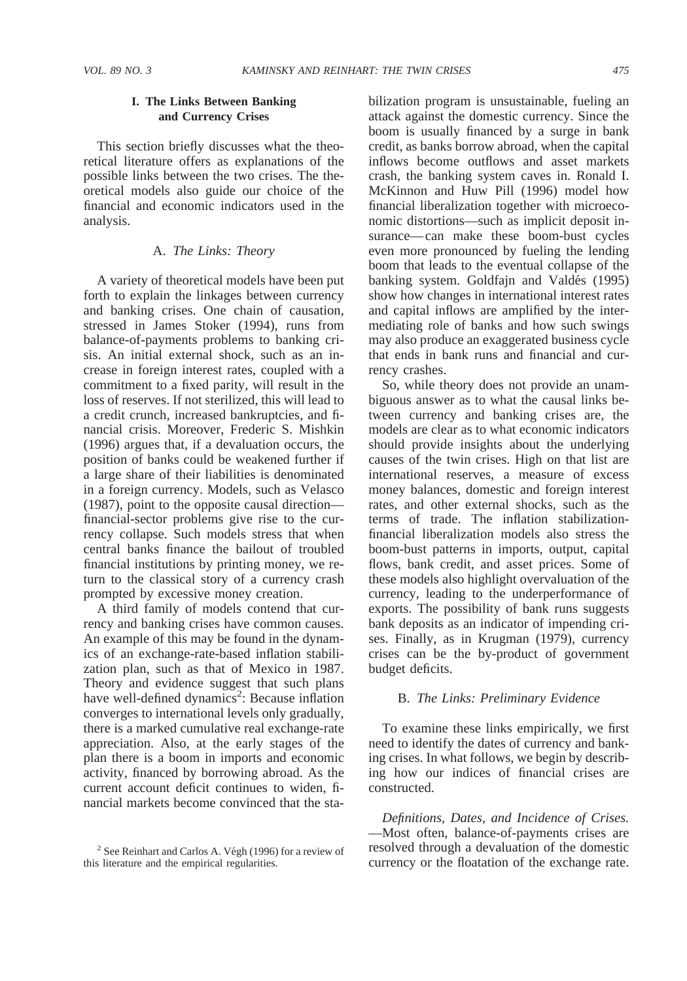# **I. The Links Between Banking and Currency Crises**

This section briefly discusses what the theoretical literature offers as explanations of the possible links between the two crises. The theoretical models also guide our choice of the financial and economic indicators used in the analysis.

# A. *The Links: Theory*

A variety of theoretical models have been put forth to explain the linkages between currency and banking crises. One chain of causation, stressed in James Stoker (1994), runs from balance-of-payments problems to banking crisis. An initial external shock, such as an increase in foreign interest rates, coupled with a commitment to a fixed parity, will result in the loss of reserves. If not sterilized, this will lead to a credit crunch, increased bankruptcies, and financial crisis. Moreover, Frederic S. Mishkin (1996) argues that, if a devaluation occurs, the position of banks could be weakened further if a large share of their liabilities is denominated in a foreign currency. Models, such as Velasco (1987), point to the opposite causal direction financial-sector problems give rise to the currency collapse. Such models stress that when central banks finance the bailout of troubled financial institutions by printing money, we return to the classical story of a currency crash prompted by excessive money creation.

A third family of models contend that currency and banking crises have common causes. An example of this may be found in the dynamics of an exchange-rate-based inflation stabilization plan, such as that of Mexico in 1987. Theory and evidence suggest that such plans have well-defined dynamics<sup>2</sup>: Because inflation converges to international levels only gradually, there is a marked cumulative real exchange-rate appreciation. Also, at the early stages of the plan there is a boom in imports and economic activity, financed by borrowing abroad. As the current account deficit continues to widen, financial markets become convinced that the stabilization program is unsustainable, fueling an attack against the domestic currency. Since the boom is usually financed by a surge in bank credit, as banks borrow abroad, when the capital inflows become outflows and asset markets crash, the banking system caves in. Ronald I. McKinnon and Huw Pill (1996) model how financial liberalization together with microeconomic distortions—such as implicit deposit insurance—can make these boom-bust cycles even more pronounced by fueling the lending boom that leads to the eventual collapse of the banking system. Goldfajn and Valdés (1995) show how changes in international interest rates and capital inflows are amplified by the intermediating role of banks and how such swings may also produce an exaggerated business cycle that ends in bank runs and financial and currency crashes.

So, while theory does not provide an unambiguous answer as to what the causal links between currency and banking crises are, the models are clear as to what economic indicators should provide insights about the underlying causes of the twin crises. High on that list are international reserves, a measure of excess money balances, domestic and foreign interest rates, and other external shocks, such as the terms of trade. The inflation stabilizationfinancial liberalization models also stress the boom-bust patterns in imports, output, capital flows, bank credit, and asset prices. Some of these models also highlight overvaluation of the currency, leading to the underperformance of exports. The possibility of bank runs suggests bank deposits as an indicator of impending crises. Finally, as in Krugman (1979), currency crises can be the by-product of government budget deficits.

# B. *The Links: Preliminary Evidence*

To examine these links empirically, we first need to identify the dates of currency and banking crises. In what follows, we begin by describing how our indices of financial crises are constructed.

*Definitions, Dates, and Incidence of Crises.* —Most often, balance-of-payments crises are resolved through a devaluation of the domestic currency or the floatation of the exchange rate.

 $2$  See Reinhart and Carlos A. Végh (1996) for a review of this literature and the empirical regularities.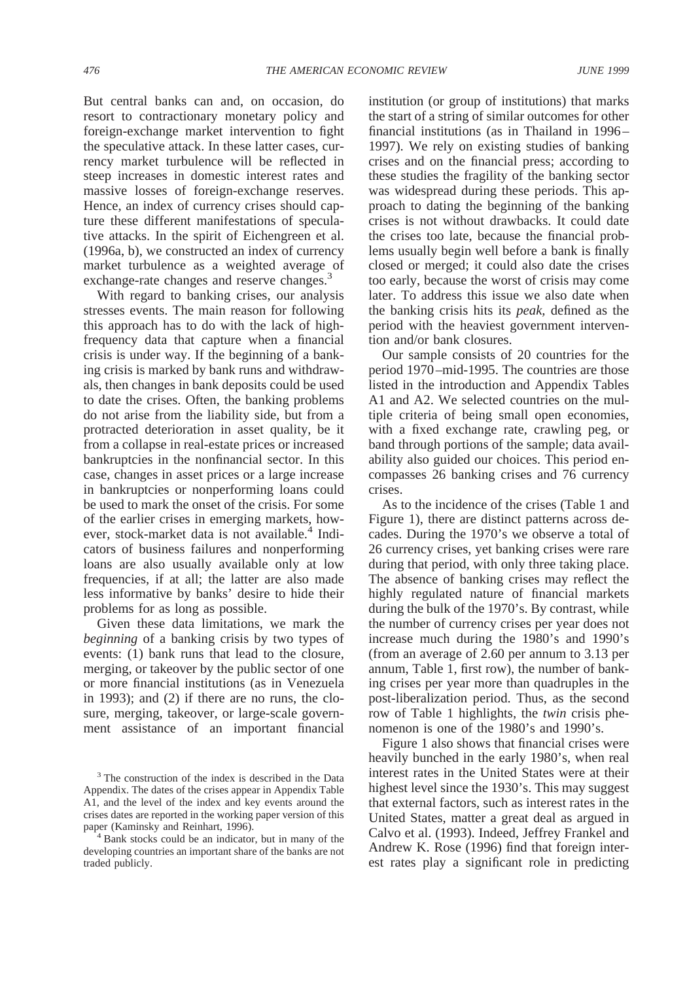But central banks can and, on occasion, do resort to contractionary monetary policy and foreign-exchange market intervention to fight the speculative attack. In these latter cases, currency market turbulence will be reflected in steep increases in domestic interest rates and massive losses of foreign-exchange reserves. Hence, an index of currency crises should capture these different manifestations of speculative attacks. In the spirit of Eichengreen et al. (1996a, b), we constructed an index of currency market turbulence as a weighted average of exchange-rate changes and reserve changes.<sup>3</sup>

With regard to banking crises, our analysis stresses events. The main reason for following this approach has to do with the lack of highfrequency data that capture when a financial crisis is under way. If the beginning of a banking crisis is marked by bank runs and withdrawals, then changes in bank deposits could be used to date the crises. Often, the banking problems do not arise from the liability side, but from a protracted deterioration in asset quality, be it from a collapse in real-estate prices or increased bankruptcies in the nonfinancial sector. In this case, changes in asset prices or a large increase in bankruptcies or nonperforming loans could be used to mark the onset of the crisis. For some of the earlier crises in emerging markets, however, stock-market data is not available.<sup>4</sup> Indicators of business failures and nonperforming loans are also usually available only at low frequencies, if at all; the latter are also made less informative by banks' desire to hide their problems for as long as possible.

Given these data limitations, we mark the *beginning* of a banking crisis by two types of events: (1) bank runs that lead to the closure, merging, or takeover by the public sector of one or more financial institutions (as in Venezuela in 1993); and (2) if there are no runs, the closure, merging, takeover, or large-scale government assistance of an important financial

institution (or group of institutions) that marks the start of a string of similar outcomes for other financial institutions (as in Thailand in 1996– 1997). We rely on existing studies of banking crises and on the financial press; according to these studies the fragility of the banking sector was widespread during these periods. This approach to dating the beginning of the banking crises is not without drawbacks. It could date the crises too late, because the financial problems usually begin well before a bank is finally closed or merged; it could also date the crises too early, because the worst of crisis may come later. To address this issue we also date when the banking crisis hits its *peak,* defined as the period with the heaviest government intervention and/or bank closures.

Our sample consists of 20 countries for the period 1970–mid-1995. The countries are those listed in the introduction and Appendix Tables A1 and A2. We selected countries on the multiple criteria of being small open economies, with a fixed exchange rate, crawling peg, or band through portions of the sample; data availability also guided our choices. This period encompasses 26 banking crises and 76 currency crises.

As to the incidence of the crises (Table 1 and Figure 1), there are distinct patterns across decades. During the 1970's we observe a total of 26 currency crises, yet banking crises were rare during that period, with only three taking place. The absence of banking crises may reflect the highly regulated nature of financial markets during the bulk of the 1970's. By contrast, while the number of currency crises per year does not increase much during the 1980's and 1990's (from an average of 2.60 per annum to 3.13 per annum, Table 1, first row), the number of banking crises per year more than quadruples in the post-liberalization period. Thus, as the second row of Table 1 highlights, the *twin* crisis phenomenon is one of the 1980's and 1990's.

Figure 1 also shows that financial crises were heavily bunched in the early 1980's, when real interest rates in the United States were at their highest level since the 1930's. This may suggest that external factors, such as interest rates in the United States, matter a great deal as argued in Calvo et al. (1993). Indeed, Jeffrey Frankel and Andrew K. Rose (1996) find that foreign interest rates play a significant role in predicting

<sup>&</sup>lt;sup>3</sup> The construction of the index is described in the Data Appendix. The dates of the crises appear in Appendix Table A1, and the level of the index and key events around the crises dates are reported in the working paper version of this paper (Kaminsky and Reinhart, 1996). <sup>4</sup> Bank stocks could be an indicator, but in many of the

developing countries an important share of the banks are not traded publicly.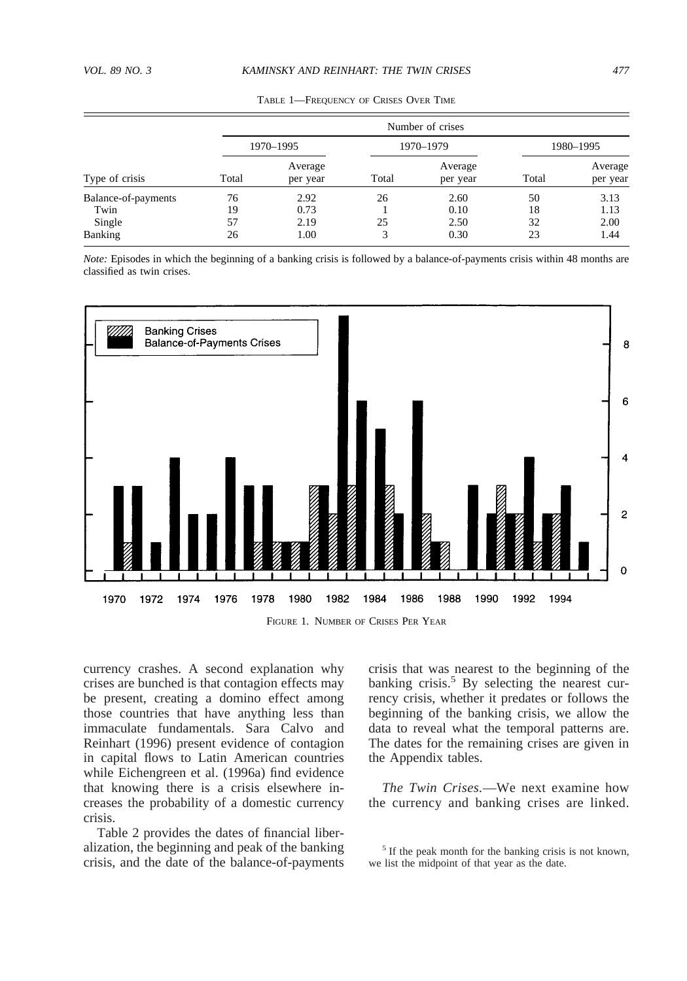|                             |           | Number of crises    |       |                     |           |                     |  |  |  |  |
|-----------------------------|-----------|---------------------|-------|---------------------|-----------|---------------------|--|--|--|--|
|                             | 1970-1995 |                     |       | 1970-1979           | 1980-1995 |                     |  |  |  |  |
| Type of crisis              | Total     | Average<br>per year | Total | Average<br>per year | Total     | Average<br>per year |  |  |  |  |
| Balance-of-payments<br>Twin | 76<br>19  | 2.92<br>0.73        | 26    | 2.60<br>0.10        | 50<br>18  | 3.13<br>1.13        |  |  |  |  |
| Single<br>Banking           | 57<br>26  | 2.19<br>1.00        | 25    | 2.50<br>0.30        | 32<br>23  | 2.00<br>1.44        |  |  |  |  |

TABLE 1—FREQUENCY OF CRISES OVER TIME

*Note:* Episodes in which the beginning of a banking crisis is followed by a balance-of-payments crisis within 48 months are classified as twin crises.



currency crashes. A second explanation why crises are bunched is that contagion effects may be present, creating a domino effect among those countries that have anything less than immaculate fundamentals. Sara Calvo and Reinhart (1996) present evidence of contagion in capital flows to Latin American countries while Eichengreen et al. (1996a) find evidence that knowing there is a crisis elsewhere increases the probability of a domestic currency crisis.

Table 2 provides the dates of financial liberalization, the beginning and peak of the banking crisis, and the date of the balance-of-payments

crisis that was nearest to the beginning of the banking crisis.<sup>5</sup> By selecting the nearest currency crisis, whether it predates or follows the beginning of the banking crisis, we allow the data to reveal what the temporal patterns are. The dates for the remaining crises are given in the Appendix tables.

*The Twin Crises.*—We next examine how the currency and banking crises are linked.

<sup>&</sup>lt;sup>5</sup> If the peak month for the banking crisis is not known, we list the midpoint of that year as the date.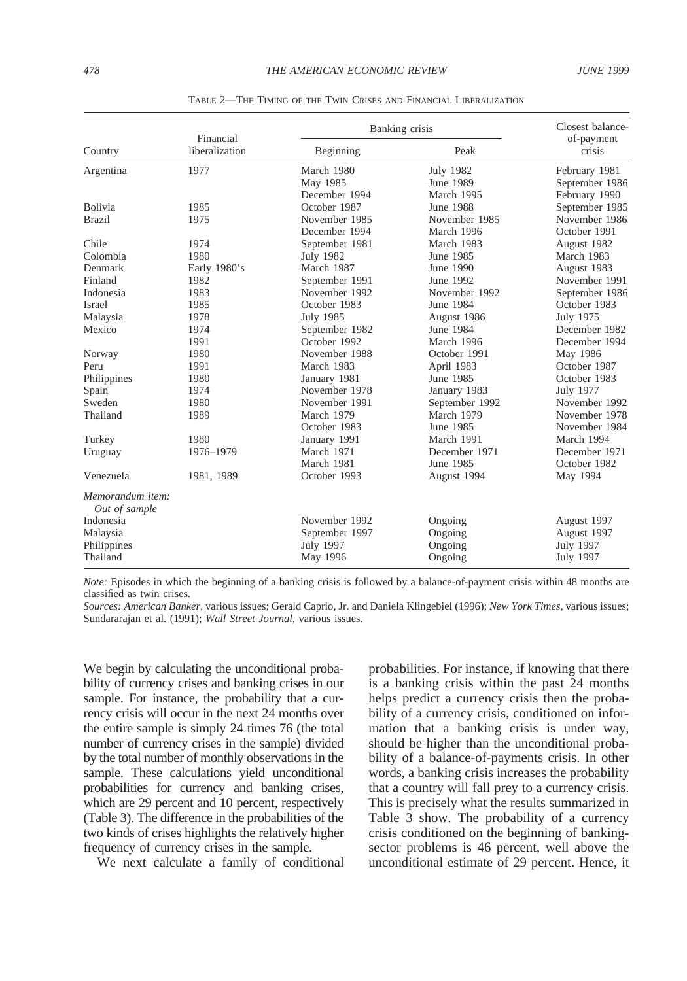|                                   |                             |                  | Banking crisis   | Closest balance-     |
|-----------------------------------|-----------------------------|------------------|------------------|----------------------|
| Country                           | Financial<br>liberalization | Beginning        | Peak             | of-payment<br>crisis |
| Argentina                         | 1977                        | March 1980       | <b>July 1982</b> | February 1981        |
|                                   |                             | May 1985         | June 1989        | September 1986       |
|                                   |                             | December 1994    | March 1995       | February 1990        |
| <b>Bolivia</b>                    | 1985                        | October 1987     | June 1988        | September 1985       |
| <b>Brazil</b>                     | 1975                        | November 1985    | November 1985    | November 1986        |
|                                   |                             | December 1994    | March 1996       | October 1991         |
| Chile                             | 1974                        | September 1981   | March 1983       | August 1982          |
| Colombia                          | 1980                        | <b>July 1982</b> | June 1985        | March 1983           |
| Denmark                           | Early 1980's                | March 1987       | June 1990        | August 1983          |
| Finland                           | 1982                        | September 1991   | June 1992        | November 1991        |
| Indonesia                         | 1983                        | November 1992    | November 1992    | September 1986       |
| Israel                            | 1985                        | October 1983     | June 1984        | October 1983         |
| Malaysia                          | 1978                        | July 1985        | August 1986      | July 1975            |
| Mexico                            | 1974                        | September 1982   | June 1984        | December 1982        |
|                                   | 1991                        | October 1992     | March 1996       | December 1994        |
| Norway                            | 1980                        | November 1988    | October 1991     | May 1986             |
| Peru                              | 1991                        | March 1983       | April 1983       | October 1987         |
| Philippines                       | 1980                        | January 1981     | June 1985        | October 1983         |
| Spain                             | 1974                        | November 1978    | January 1983     | July 1977            |
| Sweden                            | 1980                        | November 1991    | September 1992   | November 1992        |
| Thailand                          | 1989                        | March 1979       | March 1979       | November 1978        |
|                                   |                             | October 1983     | June 1985        | November 1984        |
| Turkey                            | 1980                        | January 1991     | March 1991       | March 1994           |
| Uruguay                           | 1976-1979                   | March 1971       | December 1971    | December 1971        |
|                                   |                             | March 1981       | June 1985        | October 1982         |
| Venezuela                         | 1981, 1989                  | October 1993     | August 1994      | May 1994             |
| Memorandum item:<br>Out of sample |                             |                  |                  |                      |
| Indonesia                         |                             | November 1992    | Ongoing          | August 1997          |
| Malaysia                          |                             | September 1997   | Ongoing          | August 1997          |
| Philippines                       |                             | July 1997        | Ongoing          | July 1997            |
| Thailand                          |                             | May 1996         | Ongoing          | July 1997            |

TABLE 2—THE TIMING OF THE TWIN CRISES AND FINANCIAL LIBERALIZATION

*Note:* Episodes in which the beginning of a banking crisis is followed by a balance-of-payment crisis within 48 months are classified as twin crises.

*Sources: American Banker,* various issues; Gerald Caprio, Jr. and Daniela Klingebiel (1996); *New York Times,* various issues; Sundararajan et al. (1991); *Wall Street Journal,* various issues.

We begin by calculating the unconditional probability of currency crises and banking crises in our sample. For instance, the probability that a currency crisis will occur in the next 24 months over the entire sample is simply 24 times 76 (the total number of currency crises in the sample) divided by the total number of monthly observations in the sample. These calculations yield unconditional probabilities for currency and banking crises, which are 29 percent and 10 percent, respectively (Table 3). The difference in the probabilities of the two kinds of crises highlights the relatively higher frequency of currency crises in the sample.

We next calculate a family of conditional

probabilities. For instance, if knowing that there is a banking crisis within the past 24 months helps predict a currency crisis then the probability of a currency crisis, conditioned on information that a banking crisis is under way, should be higher than the unconditional probability of a balance-of-payments crisis. In other words, a banking crisis increases the probability that a country will fall prey to a currency crisis. This is precisely what the results summarized in Table 3 show. The probability of a currency crisis conditioned on the beginning of bankingsector problems is 46 percent, well above the unconditional estimate of 29 percent. Hence, it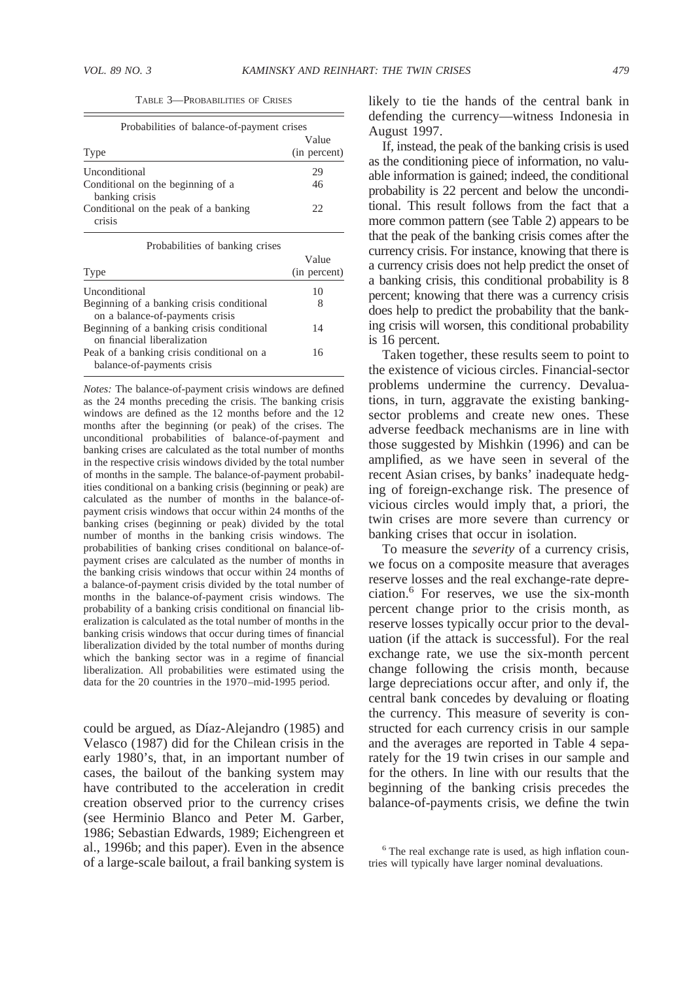TABLE 3—PROBABILITIES OF CRISES

| Probabilities of balance-of-payment crises          |                       |  |  |  |  |
|-----------------------------------------------------|-----------------------|--|--|--|--|
| Type                                                | Value<br>(in percent) |  |  |  |  |
| Unconditional                                       | 29                    |  |  |  |  |
| Conditional on the beginning of a<br>banking crisis | 46                    |  |  |  |  |
| Conditional on the peak of a banking<br>crisis      | 22                    |  |  |  |  |

Probabilities of banking crises

| Type                                                                         | Value<br>(in percent) |
|------------------------------------------------------------------------------|-----------------------|
| Unconditional                                                                | 10                    |
| Beginning of a banking crisis conditional<br>on a balance-of-payments crisis | 8                     |
| Beginning of a banking crisis conditional<br>on financial liberalization     | 14                    |
| Peak of a banking crisis conditional on a<br>balance-of-payments crisis      | 16                    |

*Notes:* The balance-of-payment crisis windows are defined as the 24 months preceding the crisis. The banking crisis windows are defined as the 12 months before and the 12 months after the beginning (or peak) of the crises. The unconditional probabilities of balance-of-payment and banking crises are calculated as the total number of months in the respective crisis windows divided by the total number of months in the sample. The balance-of-payment probabilities conditional on a banking crisis (beginning or peak) are calculated as the number of months in the balance-ofpayment crisis windows that occur within 24 months of the banking crises (beginning or peak) divided by the total number of months in the banking crisis windows. The probabilities of banking crises conditional on balance-ofpayment crises are calculated as the number of months in the banking crisis windows that occur within 24 months of a balance-of-payment crisis divided by the total number of months in the balance-of-payment crisis windows. The probability of a banking crisis conditional on financial liberalization is calculated as the total number of months in the banking crisis windows that occur during times of financial liberalization divided by the total number of months during which the banking sector was in a regime of financial liberalization. All probabilities were estimated using the data for the 20 countries in the 1970–mid-1995 period.

could be argued, as Díaz-Alejandro (1985) and Velasco (1987) did for the Chilean crisis in the early 1980's, that, in an important number of cases, the bailout of the banking system may have contributed to the acceleration in credit creation observed prior to the currency crises (see Herminio Blanco and Peter M. Garber, 1986; Sebastian Edwards, 1989; Eichengreen et al., 1996b; and this paper). Even in the absence of a large-scale bailout, a frail banking system is likely to tie the hands of the central bank in defending the currency—witness Indonesia in August 1997.

If, instead, the peak of the banking crisis is used as the conditioning piece of information, no valuable information is gained; indeed, the conditional probability is 22 percent and below the unconditional. This result follows from the fact that a more common pattern (see Table 2) appears to be that the peak of the banking crisis comes after the currency crisis. For instance, knowing that there is a currency crisis does not help predict the onset of a banking crisis, this conditional probability is 8 percent; knowing that there was a currency crisis does help to predict the probability that the banking crisis will worsen, this conditional probability is 16 percent.

Taken together, these results seem to point to the existence of vicious circles. Financial-sector problems undermine the currency. Devaluations, in turn, aggravate the existing bankingsector problems and create new ones. These adverse feedback mechanisms are in line with those suggested by Mishkin (1996) and can be amplified, as we have seen in several of the recent Asian crises, by banks' inadequate hedging of foreign-exchange risk. The presence of vicious circles would imply that, a priori, the twin crises are more severe than currency or banking crises that occur in isolation.

To measure the *severity* of a currency crisis, we focus on a composite measure that averages reserve losses and the real exchange-rate depreciation.6 For reserves, we use the six-month percent change prior to the crisis month, as reserve losses typically occur prior to the devaluation (if the attack is successful). For the real exchange rate, we use the six-month percent change following the crisis month, because large depreciations occur after, and only if, the central bank concedes by devaluing or floating the currency. This measure of severity is constructed for each currency crisis in our sample and the averages are reported in Table 4 separately for the 19 twin crises in our sample and for the others. In line with our results that the beginning of the banking crisis precedes the balance-of-payments crisis, we define the twin

<sup>&</sup>lt;sup>6</sup> The real exchange rate is used, as high inflation countries will typically have larger nominal devaluations.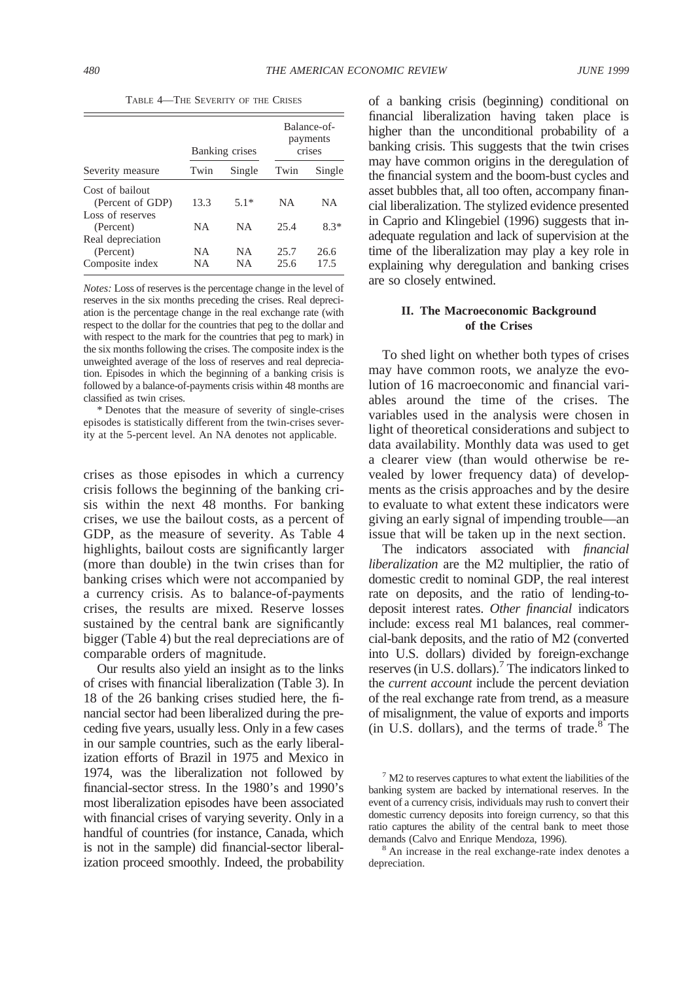TABLE 4—THE SEVERITY OF THE CRISES

|                                                         |           | Banking crises | Balance-of-<br>payments<br>crises |              |  |
|---------------------------------------------------------|-----------|----------------|-----------------------------------|--------------|--|
| Severity measure                                        | Twin      | Single         | Twin                              | Single       |  |
| Cost of bailout<br>(Percent of GDP)<br>Loss of reserves | 13.3      | $5.1*$         | NΑ                                | NΑ           |  |
| (Percent)<br>Real depreciation                          | <b>NA</b> | <b>NA</b>      | 25.4                              | $8.3*$       |  |
| (Percent)<br>Composite index                            | NΑ<br>NΑ  | N A<br>NΑ      | 25.7<br>25.6                      | 26.6<br>17.5 |  |

*Notes:* Loss of reserves is the percentage change in the level of reserves in the six months preceding the crises. Real depreciation is the percentage change in the real exchange rate (with respect to the dollar for the countries that peg to the dollar and with respect to the mark for the countries that peg to mark) in the six months following the crises. The composite index is the unweighted average of the loss of reserves and real depreciation. Episodes in which the beginning of a banking crisis is followed by a balance-of-payments crisis within 48 months are classified as twin crises.

\* Denotes that the measure of severity of single-crises episodes is statistically different from the twin-crises severity at the 5-percent level. An NA denotes not applicable.

crises as those episodes in which a currency crisis follows the beginning of the banking crisis within the next 48 months. For banking crises, we use the bailout costs, as a percent of GDP, as the measure of severity. As Table 4 highlights, bailout costs are significantly larger (more than double) in the twin crises than for banking crises which were not accompanied by a currency crisis. As to balance-of-payments crises, the results are mixed. Reserve losses sustained by the central bank are significantly bigger (Table 4) but the real depreciations are of comparable orders of magnitude.

Our results also yield an insight as to the links of crises with financial liberalization (Table 3). In 18 of the 26 banking crises studied here, the financial sector had been liberalized during the preceding five years, usually less. Only in a few cases in our sample countries, such as the early liberalization efforts of Brazil in 1975 and Mexico in 1974, was the liberalization not followed by financial-sector stress. In the 1980's and 1990's most liberalization episodes have been associated with financial crises of varying severity. Only in a handful of countries (for instance, Canada, which is not in the sample) did financial-sector liberalization proceed smoothly. Indeed, the probability of a banking crisis (beginning) conditional on financial liberalization having taken place is higher than the unconditional probability of a banking crisis. This suggests that the twin crises may have common origins in the deregulation of the financial system and the boom-bust cycles and asset bubbles that, all too often, accompany financial liberalization. The stylized evidence presented in Caprio and Klingebiel (1996) suggests that inadequate regulation and lack of supervision at the time of the liberalization may play a key role in explaining why deregulation and banking crises are so closely entwined.

## **II. The Macroeconomic Background of the Crises**

To shed light on whether both types of crises may have common roots, we analyze the evolution of 16 macroeconomic and financial variables around the time of the crises. The variables used in the analysis were chosen in light of theoretical considerations and subject to data availability. Monthly data was used to get a clearer view (than would otherwise be revealed by lower frequency data) of developments as the crisis approaches and by the desire to evaluate to what extent these indicators were giving an early signal of impending trouble—an issue that will be taken up in the next section.

The indicators associated with *financial liberalization* are the M2 multiplier, the ratio of domestic credit to nominal GDP, the real interest rate on deposits, and the ratio of lending-todeposit interest rates. *Other financial* indicators include: excess real M1 balances, real commercial-bank deposits, and the ratio of M2 (converted into U.S. dollars) divided by foreign-exchange reserves (in U.S. dollars).<sup>7</sup> The indicators linked to the *current account* include the percent deviation of the real exchange rate from trend, as a measure of misalignment, the value of exports and imports (in U.S. dollars), and the terms of trade. $8^{\circ}$  The

 $7$  M2 to reserves captures to what extent the liabilities of the banking system are backed by international reserves. In the event of a currency crisis, individuals may rush to convert their domestic currency deposits into foreign currency, so that this ratio captures the ability of the central bank to meet those demands (Calvo and Enrique Mendoza, 1996).<br><sup>8</sup> An increase in the real exchange-rate index denotes a

depreciation.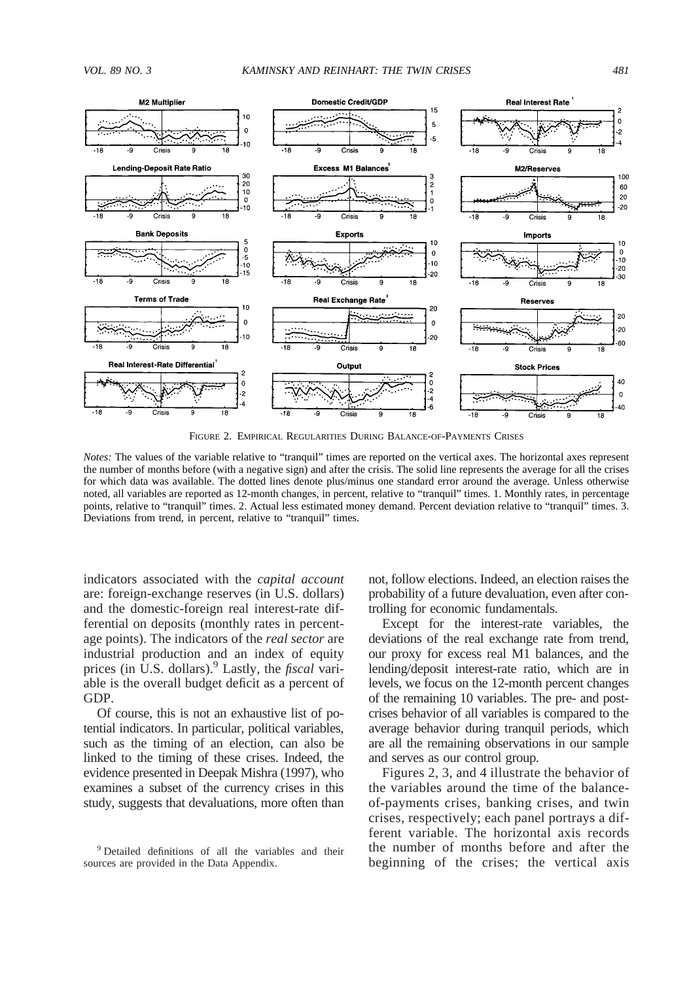

FIGURE 2. EMPIRICAL REGULARITIES DURING BALANCE-OF-PAYMENTS CRISES

*Notes:* The values of the variable relative to "tranquil" times are reported on the vertical axes. The horizontal axes represent the number of months before (with a negative sign) and after the crisis. The solid line represents the average for all the crises for which data was available. The dotted lines denote plus/minus one standard error around the average. Unless otherwise noted, all variables are reported as 12-month changes, in percent, relative to "tranquil" times. 1. Monthly rates, in percentage points, relative to "tranquil" times. 2. Actual less estimated money demand. Percent deviation relative to "tranquil" times. 3. Deviations from trend, in percent, relative to "tranquil" times.

indicators associated with the *capital account* are: foreign-exchange reserves (in U.S. dollars) and the domestic-foreign real interest-rate differential on deposits (monthly rates in percentage points). The indicators of the *real sector* are industrial production and an index of equity prices (in U.S. dollars).9 Lastly, the *fiscal* variable is the overall budget deficit as a percent of GDP.

Of course, this is not an exhaustive list of potential indicators. In particular, political variables, such as the timing of an election, can also be linked to the timing of these crises. Indeed, the evidence presented in Deepak Mishra (1997), who examines a subset of the currency crises in this study, suggests that devaluations, more often than

not, follow elections. Indeed, an election raises the probability of a future devaluation, even after controlling for economic fundamentals.

Except for the interest-rate variables, the deviations of the real exchange rate from trend, our proxy for excess real M1 balances, and the lending/deposit interest-rate ratio, which are in levels, we focus on the 12-month percent changes of the remaining 10 variables. The pre- and postcrises behavior of all variables is compared to the average behavior during tranquil periods, which are all the remaining observations in our sample and serves as our control group.

Figures 2, 3, and 4 illustrate the behavior of the variables around the time of the balanceof-payments crises, banking crises, and twin crises, respectively; each panel portrays a different variable. The horizontal axis records the number of months before and after the beginning of the crises; the vertical axis

<sup>9</sup> Detailed definitions of all the variables and their sources are provided in the Data Appendix.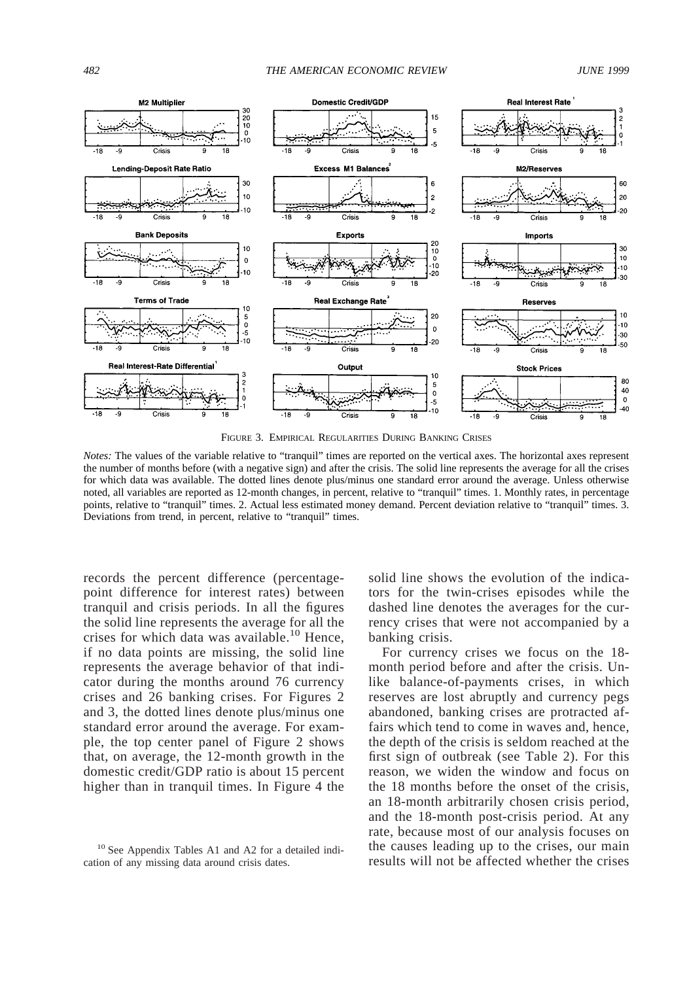

FIGURE 3. EMPIRICAL REGULARITIES DURING BANKING CRISES

*Notes:* The values of the variable relative to "tranquil" times are reported on the vertical axes. The horizontal axes represent the number of months before (with a negative sign) and after the crisis. The solid line represents the average for all the crises for which data was available. The dotted lines denote plus/minus one standard error around the average. Unless otherwise noted, all variables are reported as 12-month changes, in percent, relative to "tranquil" times. 1. Monthly rates, in percentage points, relative to "tranquil" times. 2. Actual less estimated money demand. Percent deviation relative to "tranquil" times. 3. Deviations from trend, in percent, relative to "tranquil" times.

records the percent difference (percentagepoint difference for interest rates) between tranquil and crisis periods. In all the figures the solid line represents the average for all the crises for which data was available.<sup>10</sup> Hence, if no data points are missing, the solid line represents the average behavior of that indicator during the months around 76 currency crises and 26 banking crises. For Figures 2 and 3, the dotted lines denote plus/minus one standard error around the average. For example, the top center panel of Figure 2 shows that, on average, the 12-month growth in the domestic credit/GDP ratio is about 15 percent higher than in tranquil times. In Figure 4 the

solid line shows the evolution of the indicators for the twin-crises episodes while the dashed line denotes the averages for the currency crises that were not accompanied by a banking crisis.

For currency crises we focus on the 18 month period before and after the crisis. Unlike balance-of-payments crises, in which reserves are lost abruptly and currency pegs abandoned, banking crises are protracted affairs which tend to come in waves and, hence, the depth of the crisis is seldom reached at the first sign of outbreak (see Table 2). For this reason, we widen the window and focus on the 18 months before the onset of the crisis, an 18-month arbitrarily chosen crisis period, and the 18-month post-crisis period. At any rate, because most of our analysis focuses on the causes leading up to the crises, our main results will not be affected whether the crises

<sup>&</sup>lt;sup>10</sup> See Appendix Tables A1 and A2 for a detailed indication of any missing data around crisis dates.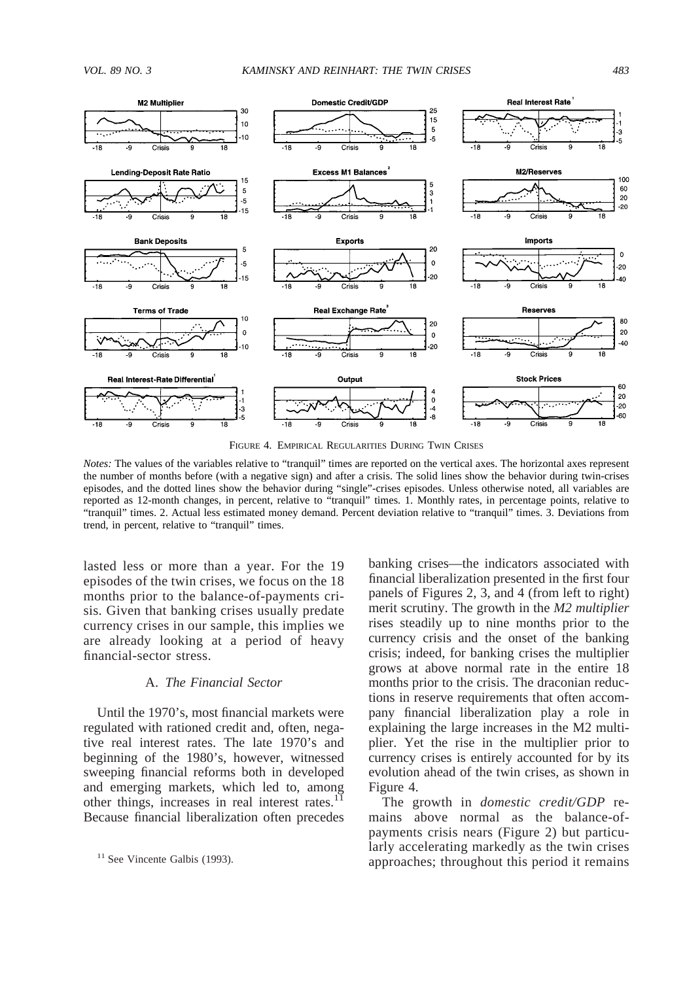

FIGURE 4. EMPIRICAL REGULARITIES DURING TWIN CRISES

*Notes:* The values of the variables relative to "tranquil" times are reported on the vertical axes. The horizontal axes represent the number of months before (with a negative sign) and after a crisis. The solid lines show the behavior during twin-crises episodes, and the dotted lines show the behavior during "single"-crises episodes. Unless otherwise noted, all variables are reported as 12-month changes, in percent, relative to "tranquil" times. 1. Monthly rates, in percentage points, relative to "tranquil" times. 2. Actual less estimated money demand. Percent deviation relative to "tranquil" times. 3. Deviations from trend, in percent, relative to "tranquil" times.

lasted less or more than a year. For the 19 episodes of the twin crises, we focus on the 18 months prior to the balance-of-payments crisis. Given that banking crises usually predate currency crises in our sample, this implies we are already looking at a period of heavy financial-sector stress.

# A. *The Financial Sector*

Until the 1970's, most financial markets were regulated with rationed credit and, often, negative real interest rates. The late 1970's and beginning of the 1980's, however, witnessed sweeping financial reforms both in developed and emerging markets, which led to, among other things, increases in real interest rates.<sup>11</sup> Because financial liberalization often precedes

banking crises—the indicators associated with financial liberalization presented in the first four panels of Figures 2, 3, and 4 (from left to right) merit scrutiny. The growth in the *M2 multiplier* rises steadily up to nine months prior to the currency crisis and the onset of the banking crisis; indeed, for banking crises the multiplier grows at above normal rate in the entire 18 months prior to the crisis. The draconian reductions in reserve requirements that often accompany financial liberalization play a role in explaining the large increases in the M2 multiplier. Yet the rise in the multiplier prior to currency crises is entirely accounted for by its evolution ahead of the twin crises, as shown in Figure 4.

The growth in *domestic credit/GDP* remains above normal as the balance-ofpayments crisis nears (Figure 2) but particularly accelerating markedly as the twin crises <sup>11</sup> See Vincente Galbis (1993). approaches; throughout this period it remains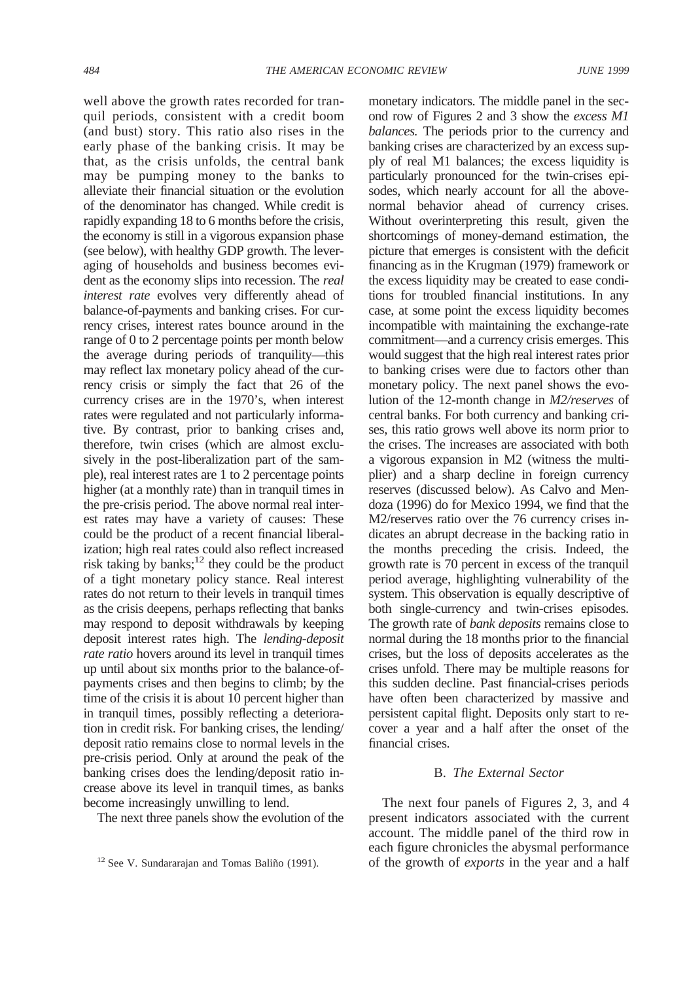well above the growth rates recorded for tranquil periods, consistent with a credit boom (and bust) story. This ratio also rises in the early phase of the banking crisis. It may be that, as the crisis unfolds, the central bank may be pumping money to the banks to alleviate their financial situation or the evolution of the denominator has changed. While credit is rapidly expanding 18 to 6 months before the crisis, the economy is still in a vigorous expansion phase (see below), with healthy GDP growth. The leveraging of households and business becomes evident as the economy slips into recession. The *real interest rate* evolves very differently ahead of balance-of-payments and banking crises. For currency crises, interest rates bounce around in the range of 0 to 2 percentage points per month below the average during periods of tranquility—this may reflect lax monetary policy ahead of the currency crisis or simply the fact that 26 of the currency crises are in the 1970's, when interest rates were regulated and not particularly informative. By contrast, prior to banking crises and, therefore, twin crises (which are almost exclusively in the post-liberalization part of the sample), real interest rates are 1 to 2 percentage points higher (at a monthly rate) than in tranquil times in the pre-crisis period. The above normal real interest rates may have a variety of causes: These could be the product of a recent financial liberalization; high real rates could also reflect increased risk taking by banks;<sup>12</sup> they could be the product of a tight monetary policy stance. Real interest rates do not return to their levels in tranquil times as the crisis deepens, perhaps reflecting that banks may respond to deposit withdrawals by keeping deposit interest rates high. The *lending-deposit rate ratio* hovers around its level in tranquil times up until about six months prior to the balance-ofpayments crises and then begins to climb; by the time of the crisis it is about 10 percent higher than in tranquil times, possibly reflecting a deterioration in credit risk. For banking crises, the lending/ deposit ratio remains close to normal levels in the pre-crisis period. Only at around the peak of the banking crises does the lending/deposit ratio increase above its level in tranquil times, as banks become increasingly unwilling to lend.

The next three panels show the evolution of the

monetary indicators. The middle panel in the second row of Figures 2 and 3 show the *excess M1 balances.* The periods prior to the currency and banking crises are characterized by an excess supply of real M1 balances; the excess liquidity is particularly pronounced for the twin-crises episodes, which nearly account for all the abovenormal behavior ahead of currency crises. Without overinterpreting this result, given the shortcomings of money-demand estimation, the picture that emerges is consistent with the deficit financing as in the Krugman (1979) framework or the excess liquidity may be created to ease conditions for troubled financial institutions. In any case, at some point the excess liquidity becomes incompatible with maintaining the exchange-rate commitment—and a currency crisis emerges. This would suggest that the high real interest rates prior to banking crises were due to factors other than monetary policy. The next panel shows the evolution of the 12-month change in *M2/reserves* of central banks. For both currency and banking crises, this ratio grows well above its norm prior to the crises. The increases are associated with both a vigorous expansion in M2 (witness the multiplier) and a sharp decline in foreign currency reserves (discussed below). As Calvo and Mendoza (1996) do for Mexico 1994, we find that the M2/reserves ratio over the 76 currency crises indicates an abrupt decrease in the backing ratio in the months preceding the crisis. Indeed, the growth rate is 70 percent in excess of the tranquil period average, highlighting vulnerability of the system. This observation is equally descriptive of both single-currency and twin-crises episodes. The growth rate of *bank deposits* remains close to normal during the 18 months prior to the financial crises, but the loss of deposits accelerates as the crises unfold. There may be multiple reasons for this sudden decline. Past financial-crises periods have often been characterized by massive and persistent capital flight. Deposits only start to recover a year and a half after the onset of the financial crises.

## B. *The External Sector*

The next four panels of Figures 2, 3, and 4 present indicators associated with the current account. The middle panel of the third row in each figure chronicles the abysmal performance <sup>12</sup> See V. Sundararajan and Tomas Baliño (1991). of the growth of *exports* in the year and a half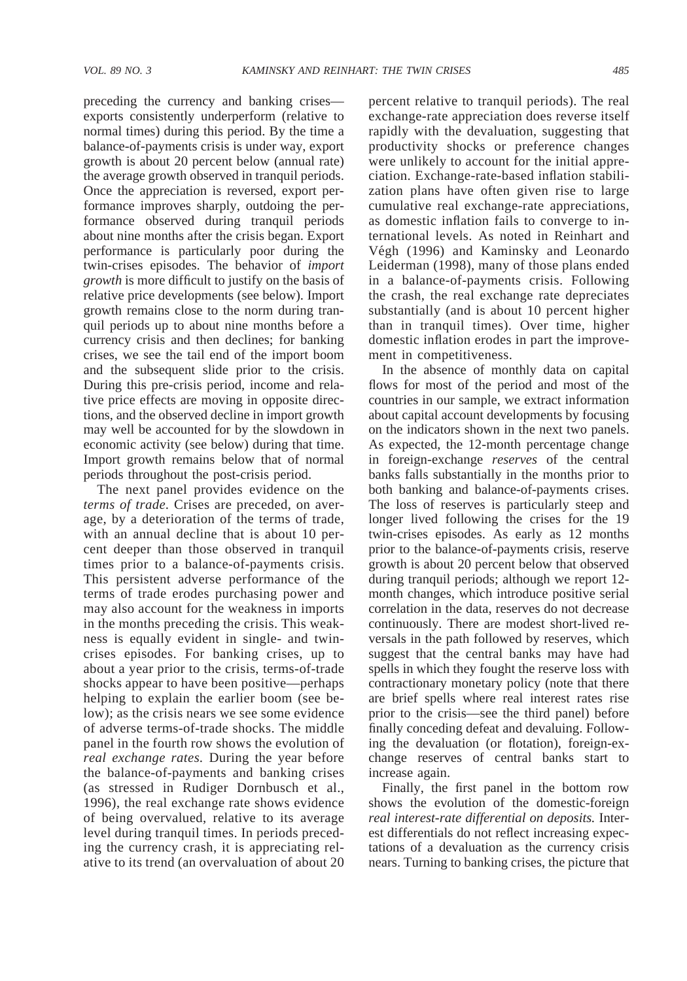preceding the currency and banking crises exports consistently underperform (relative to normal times) during this period. By the time a balance-of-payments crisis is under way, export growth is about 20 percent below (annual rate) the average growth observed in tranquil periods. Once the appreciation is reversed, export performance improves sharply, outdoing the performance observed during tranquil periods about nine months after the crisis began. Export performance is particularly poor during the twin-crises episodes. The behavior of *import growth* is more difficult to justify on the basis of relative price developments (see below). Import growth remains close to the norm during tranquil periods up to about nine months before a currency crisis and then declines; for banking crises, we see the tail end of the import boom and the subsequent slide prior to the crisis. During this pre-crisis period, income and relative price effects are moving in opposite directions, and the observed decline in import growth may well be accounted for by the slowdown in economic activity (see below) during that time. Import growth remains below that of normal periods throughout the post-crisis period.

The next panel provides evidence on the *terms of trade.* Crises are preceded, on average, by a deterioration of the terms of trade, with an annual decline that is about 10 percent deeper than those observed in tranquil times prior to a balance-of-payments crisis. This persistent adverse performance of the terms of trade erodes purchasing power and may also account for the weakness in imports in the months preceding the crisis. This weakness is equally evident in single- and twincrises episodes. For banking crises, up to about a year prior to the crisis, terms-of-trade shocks appear to have been positive—perhaps helping to explain the earlier boom (see below); as the crisis nears we see some evidence of adverse terms-of-trade shocks. The middle panel in the fourth row shows the evolution of *real exchange rates.* During the year before the balance-of-payments and banking crises (as stressed in Rudiger Dornbusch et al., 1996), the real exchange rate shows evidence of being overvalued, relative to its average level during tranquil times. In periods preceding the currency crash, it is appreciating relative to its trend (an overvaluation of about 20 percent relative to tranquil periods). The real exchange-rate appreciation does reverse itself rapidly with the devaluation, suggesting that productivity shocks or preference changes were unlikely to account for the initial appreciation. Exchange-rate-based inflation stabilization plans have often given rise to large cumulative real exchange-rate appreciations, as domestic inflation fails to converge to international levels. As noted in Reinhart and Végh (1996) and Kaminsky and Leonardo Leiderman (1998), many of those plans ended in a balance-of-payments crisis. Following the crash, the real exchange rate depreciates substantially (and is about 10 percent higher than in tranquil times). Over time, higher domestic inflation erodes in part the improvement in competitiveness.

In the absence of monthly data on capital flows for most of the period and most of the countries in our sample, we extract information about capital account developments by focusing on the indicators shown in the next two panels. As expected, the 12-month percentage change in foreign-exchange *reserves* of the central banks falls substantially in the months prior to both banking and balance-of-payments crises. The loss of reserves is particularly steep and longer lived following the crises for the 19 twin-crises episodes. As early as 12 months prior to the balance-of-payments crisis, reserve growth is about 20 percent below that observed during tranquil periods; although we report 12 month changes, which introduce positive serial correlation in the data, reserves do not decrease continuously. There are modest short-lived reversals in the path followed by reserves, which suggest that the central banks may have had spells in which they fought the reserve loss with contractionary monetary policy (note that there are brief spells where real interest rates rise prior to the crisis—see the third panel) before finally conceding defeat and devaluing. Following the devaluation (or flotation), foreign-exchange reserves of central banks start to increase again.

Finally, the first panel in the bottom row shows the evolution of the domestic-foreign *real interest-rate differential on deposits.* Interest differentials do not reflect increasing expectations of a devaluation as the currency crisis nears. Turning to banking crises, the picture that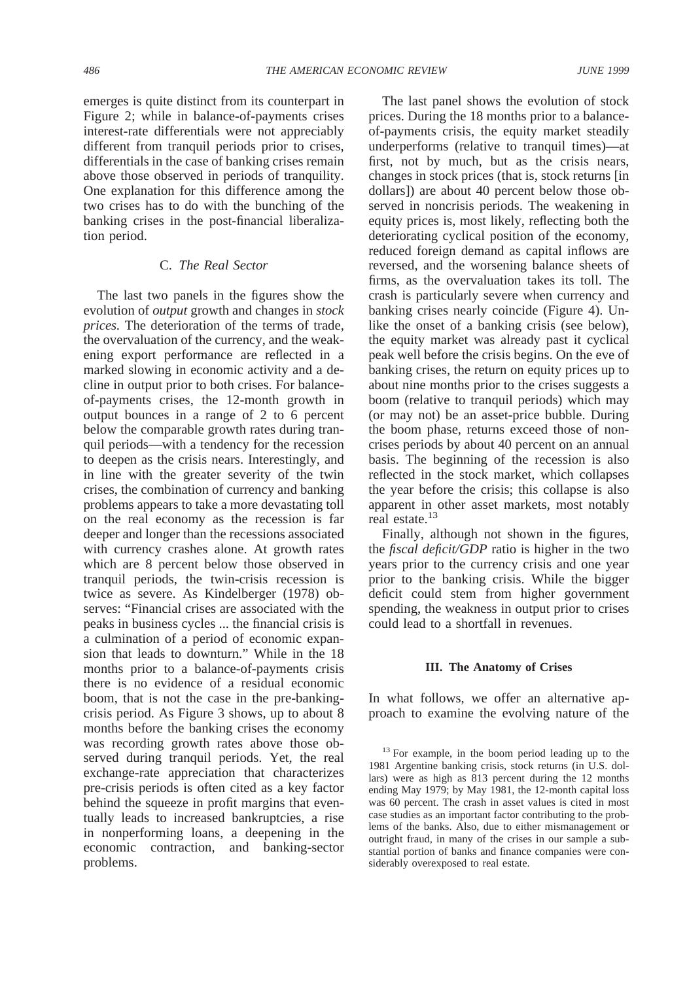emerges is quite distinct from its counterpart in Figure 2; while in balance-of-payments crises interest-rate differentials were not appreciably different from tranquil periods prior to crises, differentials in the case of banking crises remain above those observed in periods of tranquility. One explanation for this difference among the two crises has to do with the bunching of the banking crises in the post-financial liberalization period.

# C. *The Real Sector*

The last two panels in the figures show the evolution of *output* growth and changes in *stock prices.* The deterioration of the terms of trade, the overvaluation of the currency, and the weakening export performance are reflected in a marked slowing in economic activity and a decline in output prior to both crises. For balanceof-payments crises, the 12-month growth in output bounces in a range of 2 to 6 percent below the comparable growth rates during tranquil periods—with a tendency for the recession to deepen as the crisis nears. Interestingly, and in line with the greater severity of the twin crises, the combination of currency and banking problems appears to take a more devastating toll on the real economy as the recession is far deeper and longer than the recessions associated with currency crashes alone. At growth rates which are 8 percent below those observed in tranquil periods, the twin-crisis recession is twice as severe. As Kindelberger (1978) observes: "Financial crises are associated with the peaks in business cycles ... the financial crisis is a culmination of a period of economic expansion that leads to downturn." While in the 18 months prior to a balance-of-payments crisis there is no evidence of a residual economic boom, that is not the case in the pre-bankingcrisis period. As Figure 3 shows, up to about 8 months before the banking crises the economy was recording growth rates above those observed during tranquil periods. Yet, the real exchange-rate appreciation that characterizes pre-crisis periods is often cited as a key factor behind the squeeze in profit margins that eventually leads to increased bankruptcies, a rise in nonperforming loans, a deepening in the economic contraction, and banking-sector problems.

The last panel shows the evolution of stock prices. During the 18 months prior to a balanceof-payments crisis, the equity market steadily underperforms (relative to tranquil times)—at first, not by much, but as the crisis nears, changes in stock prices (that is, stock returns [in dollars]) are about 40 percent below those observed in noncrisis periods. The weakening in equity prices is, most likely, reflecting both the deteriorating cyclical position of the economy, reduced foreign demand as capital inflows are reversed, and the worsening balance sheets of firms, as the overvaluation takes its toll. The crash is particularly severe when currency and banking crises nearly coincide (Figure 4). Unlike the onset of a banking crisis (see below), the equity market was already past it cyclical peak well before the crisis begins. On the eve of banking crises, the return on equity prices up to about nine months prior to the crises suggests a boom (relative to tranquil periods) which may (or may not) be an asset-price bubble. During the boom phase, returns exceed those of noncrises periods by about 40 percent on an annual basis. The beginning of the recession is also reflected in the stock market, which collapses the year before the crisis; this collapse is also apparent in other asset markets, most notably real estate.<sup>13</sup>

Finally, although not shown in the figures, the *fiscal deficit/GDP* ratio is higher in the two years prior to the currency crisis and one year prior to the banking crisis. While the bigger deficit could stem from higher government spending, the weakness in output prior to crises could lead to a shortfall in revenues.

#### **III. The Anatomy of Crises**

In what follows, we offer an alternative approach to examine the evolving nature of the

<sup>&</sup>lt;sup>13</sup> For example, in the boom period leading up to the 1981 Argentine banking crisis, stock returns (in U.S. dollars) were as high as 813 percent during the 12 months ending May 1979; by May 1981, the 12-month capital loss was 60 percent. The crash in asset values is cited in most case studies as an important factor contributing to the problems of the banks. Also, due to either mismanagement or outright fraud, in many of the crises in our sample a substantial portion of banks and finance companies were considerably overexposed to real estate.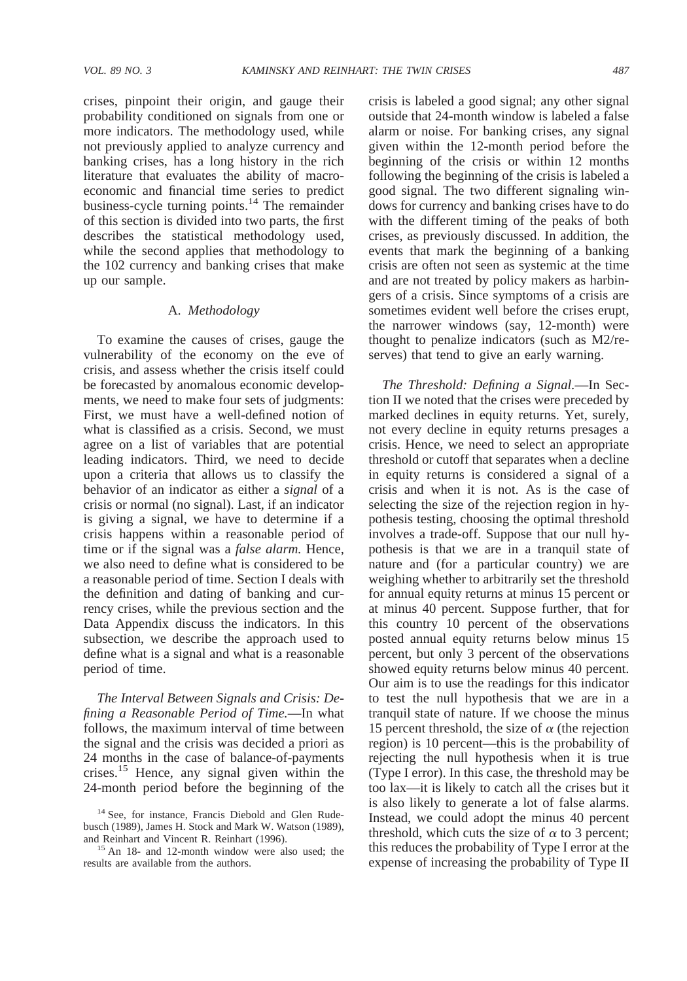crises, pinpoint their origin, and gauge their probability conditioned on signals from one or more indicators. The methodology used, while not previously applied to analyze currency and banking crises, has a long history in the rich literature that evaluates the ability of macroeconomic and financial time series to predict business-cycle turning points.<sup>14</sup> The remainder of this section is divided into two parts, the first describes the statistical methodology used, while the second applies that methodology to the 102 currency and banking crises that make up our sample.

## A. *Methodology*

To examine the causes of crises, gauge the vulnerability of the economy on the eve of crisis, and assess whether the crisis itself could be forecasted by anomalous economic developments, we need to make four sets of judgments: First, we must have a well-defined notion of what is classified as a crisis. Second, we must agree on a list of variables that are potential leading indicators. Third, we need to decide upon a criteria that allows us to classify the behavior of an indicator as either a *signal* of a crisis or normal (no signal). Last, if an indicator is giving a signal, we have to determine if a crisis happens within a reasonable period of time or if the signal was a *false alarm.* Hence, we also need to define what is considered to be a reasonable period of time. Section I deals with the definition and dating of banking and currency crises, while the previous section and the Data Appendix discuss the indicators. In this subsection, we describe the approach used to define what is a signal and what is a reasonable period of time.

*The Interval Between Signals and Crisis: Defining a Reasonable Period of Time.*—In what follows, the maximum interval of time between the signal and the crisis was decided a priori as 24 months in the case of balance-of-payments crises.15 Hence, any signal given within the 24-month period before the beginning of the

crisis is labeled a good signal; any other signal outside that 24-month window is labeled a false alarm or noise. For banking crises, any signal given within the 12-month period before the beginning of the crisis or within 12 months following the beginning of the crisis is labeled a good signal. The two different signaling windows for currency and banking crises have to do with the different timing of the peaks of both crises, as previously discussed. In addition, the events that mark the beginning of a banking crisis are often not seen as systemic at the time and are not treated by policy makers as harbingers of a crisis. Since symptoms of a crisis are sometimes evident well before the crises erupt, the narrower windows (say, 12-month) were thought to penalize indicators (such as M2/reserves) that tend to give an early warning.

*The Threshold: Defining a Signal.*—In Section II we noted that the crises were preceded by marked declines in equity returns. Yet, surely, not every decline in equity returns presages a crisis. Hence, we need to select an appropriate threshold or cutoff that separates when a decline in equity returns is considered a signal of a crisis and when it is not. As is the case of selecting the size of the rejection region in hypothesis testing, choosing the optimal threshold involves a trade-off. Suppose that our null hypothesis is that we are in a tranquil state of nature and (for a particular country) we are weighing whether to arbitrarily set the threshold for annual equity returns at minus 15 percent or at minus 40 percent. Suppose further, that for this country 10 percent of the observations posted annual equity returns below minus 15 percent, but only 3 percent of the observations showed equity returns below minus 40 percent. Our aim is to use the readings for this indicator to test the null hypothesis that we are in a tranquil state of nature. If we choose the minus 15 percent threshold, the size of  $\alpha$  (the rejection region) is 10 percent—this is the probability of rejecting the null hypothesis when it is true (Type I error). In this case, the threshold may be too lax—it is likely to catch all the crises but it is also likely to generate a lot of false alarms. Instead, we could adopt the minus 40 percent threshold, which cuts the size of  $\alpha$  to 3 percent; this reduces the probability of Type I error at the expense of increasing the probability of Type II

<sup>&</sup>lt;sup>14</sup> See, for instance, Francis Diebold and Glen Rudebusch (1989), James H. Stock and Mark W. Watson (1989),

 $15$  An 18- and 12-month window were also used; the results are available from the authors.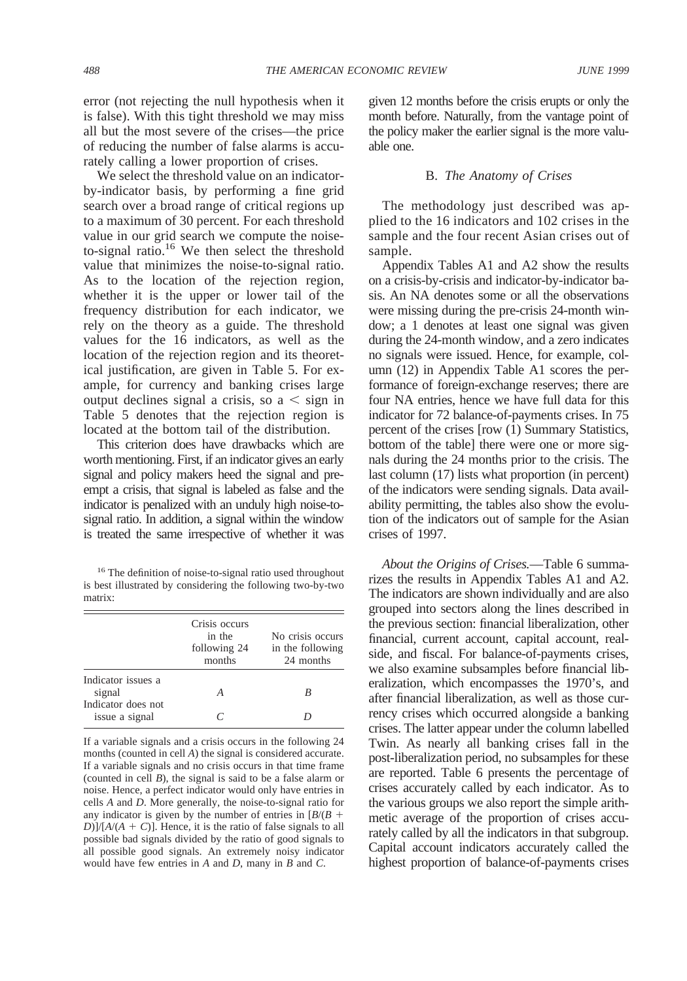error (not rejecting the null hypothesis when it is false). With this tight threshold we may miss all but the most severe of the crises—the price of reducing the number of false alarms is accurately calling a lower proportion of crises.

We select the threshold value on an indicatorby-indicator basis, by performing a fine grid search over a broad range of critical regions up to a maximum of 30 percent. For each threshold value in our grid search we compute the noiseto-signal ratio.<sup>16</sup> We then select the threshold value that minimizes the noise-to-signal ratio. As to the location of the rejection region, whether it is the upper or lower tail of the frequency distribution for each indicator, we rely on the theory as a guide. The threshold values for the 16 indicators, as well as the location of the rejection region and its theoretical justification, are given in Table 5. For example, for currency and banking crises large output declines signal a crisis, so  $a <$  sign in Table 5 denotes that the rejection region is located at the bottom tail of the distribution.

This criterion does have drawbacks which are worth mentioning. First, if an indicator gives an early signal and policy makers heed the signal and preempt a crisis, that signal is labeled as false and the indicator is penalized with an unduly high noise-tosignal ratio. In addition, a signal within the window is treated the same irrespective of whether it was

<sup>16</sup> The definition of noise-to-signal ratio used throughout is best illustrated by considering the following two-by-two matrix:

|                                      | Crisis occurs<br>in the<br>following 24<br>months | No crisis occurs<br>in the following<br>24 months |
|--------------------------------------|---------------------------------------------------|---------------------------------------------------|
| Indicator issues a<br>signal         |                                                   |                                                   |
| Indicator does not<br>issue a signal |                                                   |                                                   |

If a variable signals and a crisis occurs in the following 24 months (counted in cell *A*) the signal is considered accurate. If a variable signals and no crisis occurs in that time frame (counted in cell *B*), the signal is said to be a false alarm or noise. Hence, a perfect indicator would only have entries in cells *A* and *D*. More generally, the noise-to-signal ratio for any indicator is given by the number of entries in  $\frac{B}{B}$  +  $D$ )]/[ $A/(A + C)$ ]. Hence, it is the ratio of false signals to all possible bad signals divided by the ratio of good signals to all possible good signals. An extremely noisy indicator would have few entries in *A* and *D*, many in *B* and *C*.

given 12 months before the crisis erupts or only the month before. Naturally, from the vantage point of the policy maker the earlier signal is the more valuable one.

## B. *The Anatomy of Crises*

The methodology just described was applied to the 16 indicators and 102 crises in the sample and the four recent Asian crises out of sample.

Appendix Tables A1 and A2 show the results on a crisis-by-crisis and indicator-by-indicator basis. An NA denotes some or all the observations were missing during the pre-crisis 24-month window; a 1 denotes at least one signal was given during the 24-month window, and a zero indicates no signals were issued. Hence, for example, column (12) in Appendix Table A1 scores the performance of foreign-exchange reserves; there are four NA entries, hence we have full data for this indicator for 72 balance-of-payments crises. In 75 percent of the crises [row (1) Summary Statistics, bottom of the table] there were one or more signals during the 24 months prior to the crisis. The last column (17) lists what proportion (in percent) of the indicators were sending signals. Data availability permitting, the tables also show the evolution of the indicators out of sample for the Asian crises of 1997.

*About the Origins of Crises.*—Table 6 summarizes the results in Appendix Tables A1 and A2. The indicators are shown individually and are also grouped into sectors along the lines described in the previous section: financial liberalization, other financial, current account, capital account, realside, and fiscal. For balance-of-payments crises, we also examine subsamples before financial liberalization, which encompasses the 1970's, and after financial liberalization, as well as those currency crises which occurred alongside a banking crises. The latter appear under the column labelled Twin. As nearly all banking crises fall in the post-liberalization period, no subsamples for these are reported. Table 6 presents the percentage of crises accurately called by each indicator. As to the various groups we also report the simple arithmetic average of the proportion of crises accurately called by all the indicators in that subgroup. Capital account indicators accurately called the highest proportion of balance-of-payments crises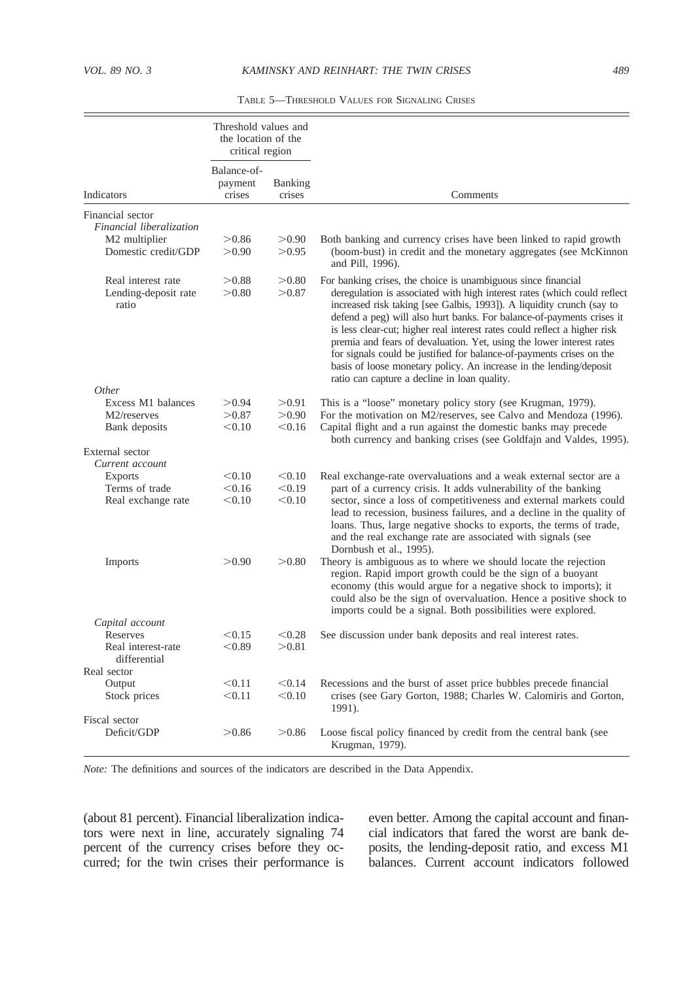|                                                     | Threshold values and<br>the location of the<br>critical region |                   |                                                                                                                                                                                                                                                                                                                                                                                                                                                                                                                                                                                                                                                |
|-----------------------------------------------------|----------------------------------------------------------------|-------------------|------------------------------------------------------------------------------------------------------------------------------------------------------------------------------------------------------------------------------------------------------------------------------------------------------------------------------------------------------------------------------------------------------------------------------------------------------------------------------------------------------------------------------------------------------------------------------------------------------------------------------------------------|
| Indicators                                          | Balance-of-<br>payment<br>crises                               | Banking<br>crises | Comments                                                                                                                                                                                                                                                                                                                                                                                                                                                                                                                                                                                                                                       |
| Financial sector                                    |                                                                |                   |                                                                                                                                                                                                                                                                                                                                                                                                                                                                                                                                                                                                                                                |
| Financial liberalization                            |                                                                |                   |                                                                                                                                                                                                                                                                                                                                                                                                                                                                                                                                                                                                                                                |
| M2 multiplier                                       | > 0.86                                                         | > 0.90            | Both banking and currency crises have been linked to rapid growth                                                                                                                                                                                                                                                                                                                                                                                                                                                                                                                                                                              |
| Domestic credit/GDP                                 | > 0.90                                                         | > 0.95            | (boom-bust) in credit and the monetary aggregates (see McKinnon<br>and Pill, 1996).                                                                                                                                                                                                                                                                                                                                                                                                                                                                                                                                                            |
| Real interest rate<br>Lending-deposit rate<br>ratio | > 0.88<br>> 0.80                                               | > 0.80<br>> 0.87  | For banking crises, the choice is unambiguous since financial<br>deregulation is associated with high interest rates (which could reflect<br>increased risk taking [see Galbis, 1993]). A liquidity crunch (say to<br>defend a peg) will also hurt banks. For balance-of-payments crises it<br>is less clear-cut; higher real interest rates could reflect a higher risk<br>premia and fears of devaluation. Yet, using the lower interest rates<br>for signals could be justified for balance-of-payments crises on the<br>basis of loose monetary policy. An increase in the lending/deposit<br>ratio can capture a decline in loan quality. |
| <i>Other</i>                                        |                                                                |                   |                                                                                                                                                                                                                                                                                                                                                                                                                                                                                                                                                                                                                                                |
| Excess M1 balances                                  | > 0.94                                                         | > 0.91            | This is a "loose" monetary policy story (see Krugman, 1979).                                                                                                                                                                                                                                                                                                                                                                                                                                                                                                                                                                                   |
| M2/reserves<br>Bank deposits                        | > 0.87<br>< 0.10                                               | > 0.90<br>< 0.16  | For the motivation on M2/reserves, see Calvo and Mendoza (1996).<br>Capital flight and a run against the domestic banks may precede<br>both currency and banking crises (see Goldfajn and Valdes, 1995).                                                                                                                                                                                                                                                                                                                                                                                                                                       |
| External sector                                     |                                                                |                   |                                                                                                                                                                                                                                                                                                                                                                                                                                                                                                                                                                                                                                                |
| Current account                                     |                                                                |                   |                                                                                                                                                                                                                                                                                                                                                                                                                                                                                                                                                                                                                                                |
| <b>Exports</b>                                      | < 0.10                                                         | < 0.10            | Real exchange-rate overvaluations and a weak external sector are a                                                                                                                                                                                                                                                                                                                                                                                                                                                                                                                                                                             |
| Terms of trade                                      | < 0.16                                                         | < 0.19            | part of a currency crisis. It adds vulnerability of the banking                                                                                                                                                                                                                                                                                                                                                                                                                                                                                                                                                                                |
| Real exchange rate                                  | < 0.10                                                         | < 0.10            | sector, since a loss of competitiveness and external markets could<br>lead to recession, business failures, and a decline in the quality of<br>loans. Thus, large negative shocks to exports, the terms of trade,<br>and the real exchange rate are associated with signals (see<br>Dornbush et al., 1995).                                                                                                                                                                                                                                                                                                                                    |
| <b>Imports</b>                                      | > 0.90                                                         | > 0.80            | Theory is ambiguous as to where we should locate the rejection<br>region. Rapid import growth could be the sign of a buoyant<br>economy (this would argue for a negative shock to imports); it<br>could also be the sign of overvaluation. Hence a positive shock to<br>imports could be a signal. Both possibilities were explored.                                                                                                                                                                                                                                                                                                           |
| Capital account                                     |                                                                |                   |                                                                                                                                                                                                                                                                                                                                                                                                                                                                                                                                                                                                                                                |
| Reserves                                            | < 0.15                                                         | < 0.28            | See discussion under bank deposits and real interest rates.                                                                                                                                                                                                                                                                                                                                                                                                                                                                                                                                                                                    |
| Real interest-rate<br>differential<br>Real sector   | < 0.89                                                         | > 0.81            |                                                                                                                                                                                                                                                                                                                                                                                                                                                                                                                                                                                                                                                |
| Output                                              | < 0.11                                                         | < 0.14            | Recessions and the burst of asset price bubbles precede financial                                                                                                                                                                                                                                                                                                                                                                                                                                                                                                                                                                              |
| Stock prices                                        | < 0.11                                                         | < 0.10            | crises (see Gary Gorton, 1988; Charles W. Calomiris and Gorton,<br>1991).                                                                                                                                                                                                                                                                                                                                                                                                                                                                                                                                                                      |
| Fiscal sector                                       |                                                                |                   |                                                                                                                                                                                                                                                                                                                                                                                                                                                                                                                                                                                                                                                |
| Deficit/GDP                                         | > 0.86                                                         | > 0.86            | Loose fiscal policy financed by credit from the central bank (see<br>Krugman, 1979).                                                                                                                                                                                                                                                                                                                                                                                                                                                                                                                                                           |

TABLE 5—THRESHOLD VALUES FOR SIGNALING CRISES

*Note:* The definitions and sources of the indicators are described in the Data Appendix.

(about 81 percent). Financial liberalization indicators were next in line, accurately signaling 74 percent of the currency crises before they occurred; for the twin crises their performance is

even better. Among the capital account and financial indicators that fared the worst are bank deposits, the lending-deposit ratio, and excess M1 balances. Current account indicators followed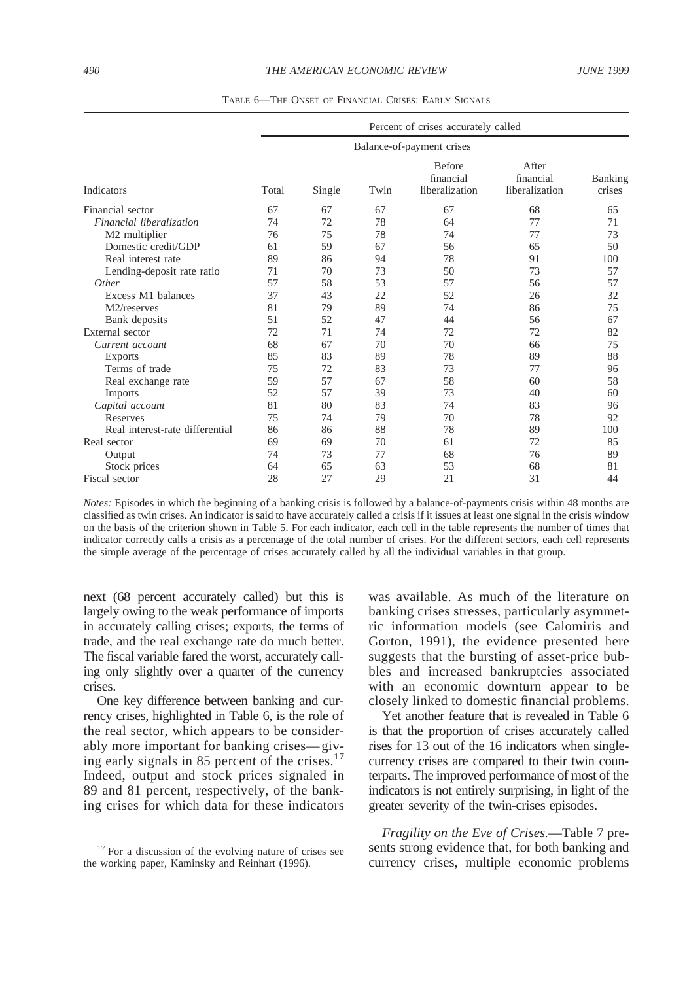|                                 |       |                           |      | Percent of crises accurately called          |                                      |                   |  |  |
|---------------------------------|-------|---------------------------|------|----------------------------------------------|--------------------------------------|-------------------|--|--|
|                                 |       | Balance-of-payment crises |      |                                              |                                      |                   |  |  |
| Indicators                      | Total | Single                    | Twin | <b>Before</b><br>financial<br>liberalization | After<br>financial<br>liberalization | Banking<br>crises |  |  |
| Financial sector                | 67    | 67                        | 67   | 67                                           | 68                                   | 65                |  |  |
| Financial liberalization        | 74    | 72                        | 78   | 64                                           | 77                                   | 71                |  |  |
| M2 multiplier                   | 76    | 75                        | 78   | 74                                           | 77                                   | 73                |  |  |
| Domestic credit/GDP             | 61    | 59                        | 67   | 56                                           | 65                                   | 50                |  |  |
| Real interest rate              | 89    | 86                        | 94   | 78                                           | 91                                   | 100               |  |  |
| Lending-deposit rate ratio      | 71    | 70                        | 73   | 50                                           | 73                                   | 57                |  |  |
| Other                           | 57    | 58                        | 53   | 57                                           | 56                                   | 57                |  |  |
| Excess M1 balances              | 37    | 43                        | 22   | 52                                           | 26                                   | 32                |  |  |
| M2/reserves                     | 81    | 79                        | 89   | 74                                           | 86                                   | 75                |  |  |
| Bank deposits                   | 51    | 52                        | 47   | 44                                           | 56                                   | 67                |  |  |
| External sector                 | 72    | 71                        | 74   | 72                                           | 72                                   | 82                |  |  |
| Current account                 | 68    | 67                        | 70   | 70                                           | 66                                   | 75                |  |  |
| <b>Exports</b>                  | 85    | 83                        | 89   | 78                                           | 89                                   | 88                |  |  |
| Terms of trade                  | 75    | 72                        | 83   | 73                                           | 77                                   | 96                |  |  |
| Real exchange rate              | 59    | 57                        | 67   | 58                                           | 60                                   | 58                |  |  |
| <b>Imports</b>                  | 52    | 57                        | 39   | 73                                           | 40                                   | 60                |  |  |
| Capital account                 | 81    | 80                        | 83   | 74                                           | 83                                   | 96                |  |  |
| Reserves                        | 75    | 74                        | 79   | 70                                           | 78                                   | 92                |  |  |
| Real interest-rate differential | 86    | 86                        | 88   | 78                                           | 89                                   | 100               |  |  |
| Real sector                     | 69    | 69                        | 70   | 61                                           | 72                                   | 85                |  |  |
| Output                          | 74    | 73                        | 77   | 68                                           | 76                                   | 89                |  |  |
| Stock prices                    | 64    | 65                        | 63   | 53                                           | 68                                   | 81                |  |  |
| Fiscal sector                   | 28    | 27                        | 29   | 21                                           | 31                                   | 44                |  |  |

TABLE 6—THE ONSET OF FINANCIAL CRISES: EARLY SIGNALS

*Notes:* Episodes in which the beginning of a banking crisis is followed by a balance-of-payments crisis within 48 months are classified as twin crises. An indicator is said to have accurately called a crisis if it issues at least one signal in the crisis window on the basis of the criterion shown in Table 5. For each indicator, each cell in the table represents the number of times that indicator correctly calls a crisis as a percentage of the total number of crises. For the different sectors, each cell represents the simple average of the percentage of crises accurately called by all the individual variables in that group.

next (68 percent accurately called) but this is largely owing to the weak performance of imports in accurately calling crises; exports, the terms of trade, and the real exchange rate do much better. The fiscal variable fared the worst, accurately calling only slightly over a quarter of the currency crises.

One key difference between banking and currency crises, highlighted in Table 6, is the role of the real sector, which appears to be considerably more important for banking crises—giving early signals in 85 percent of the crises.<sup>17</sup> Indeed, output and stock prices signaled in 89 and 81 percent, respectively, of the banking crises for which data for these indicators

was available. As much of the literature on banking crises stresses, particularly asymmetric information models (see Calomiris and Gorton, 1991), the evidence presented here suggests that the bursting of asset-price bubbles and increased bankruptcies associated with an economic downturn appear to be closely linked to domestic financial problems.

Yet another feature that is revealed in Table 6 is that the proportion of crises accurately called rises for 13 out of the 16 indicators when singlecurrency crises are compared to their twin counterparts. The improved performance of most of the indicators is not entirely surprising, in light of the greater severity of the twin-crises episodes.

*Fragility on the Eve of Crises.*—Table 7 presents strong evidence that, for both banking and currency crises, multiple economic problems

 $17$  For a discussion of the evolving nature of crises see the working paper, Kaminsky and Reinhart (1996).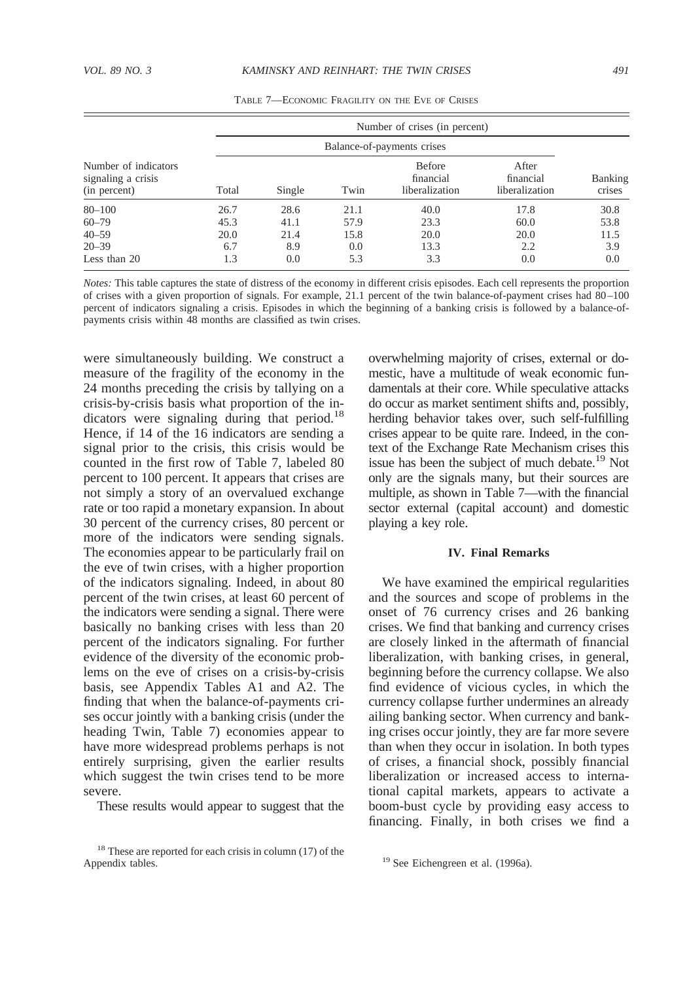|                                                            |       | Number of crises (in percent) |      |                                              |                                      |                   |  |  |  |
|------------------------------------------------------------|-------|-------------------------------|------|----------------------------------------------|--------------------------------------|-------------------|--|--|--|
|                                                            |       | Balance-of-payments crises    |      |                                              |                                      |                   |  |  |  |
| Number of indicators<br>signaling a crisis<br>(in percent) | Total | Single                        | Twin | <b>Before</b><br>financial<br>liberalization | After<br>financial<br>liberalization | Banking<br>crises |  |  |  |
| $80 - 100$                                                 | 26.7  | 28.6                          | 21.1 | 40.0                                         | 17.8                                 | 30.8              |  |  |  |
| $60 - 79$                                                  | 45.3  | 41.1                          | 57.9 | 23.3                                         | 60.0                                 | 53.8              |  |  |  |
| $40 - 59$                                                  | 20.0  | 21.4                          | 15.8 | 20.0                                         | 20.0                                 | 11.5              |  |  |  |
| $20 - 39$                                                  | 6.7   | 8.9                           | 0.0  | 13.3                                         | 2.2                                  | 3.9               |  |  |  |
| Less than 20                                               | 1.3   | 0.0                           | 5.3  | 3.3                                          | 0.0                                  | 0.0               |  |  |  |

TABLE 7—ECONOMIC FRAGILITY ON THE EVE OF CRISES

*Notes:* This table captures the state of distress of the economy in different crisis episodes. Each cell represents the proportion of crises with a given proportion of signals. For example, 21.1 percent of the twin balance-of-payment crises had 80–100 percent of indicators signaling a crisis. Episodes in which the beginning of a banking crisis is followed by a balance-ofpayments crisis within 48 months are classified as twin crises.

were simultaneously building. We construct a measure of the fragility of the economy in the 24 months preceding the crisis by tallying on a crisis-by-crisis basis what proportion of the indicators were signaling during that period.<sup>18</sup> Hence, if 14 of the 16 indicators are sending a signal prior to the crisis, this crisis would be counted in the first row of Table 7, labeled 80 percent to 100 percent. It appears that crises are not simply a story of an overvalued exchange rate or too rapid a monetary expansion. In about 30 percent of the currency crises, 80 percent or more of the indicators were sending signals. The economies appear to be particularly frail on the eve of twin crises, with a higher proportion of the indicators signaling. Indeed, in about 80 percent of the twin crises, at least 60 percent of the indicators were sending a signal. There were basically no banking crises with less than 20 percent of the indicators signaling. For further evidence of the diversity of the economic problems on the eve of crises on a crisis-by-crisis basis, see Appendix Tables A1 and A2. The finding that when the balance-of-payments crises occur jointly with a banking crisis (under the heading Twin, Table 7) economies appear to have more widespread problems perhaps is not entirely surprising, given the earlier results which suggest the twin crises tend to be more severe.

These results would appear to suggest that the

overwhelming majority of crises, external or domestic, have a multitude of weak economic fundamentals at their core. While speculative attacks do occur as market sentiment shifts and, possibly, herding behavior takes over, such self-fulfilling crises appear to be quite rare. Indeed, in the context of the Exchange Rate Mechanism crises this issue has been the subject of much debate.19 Not only are the signals many, but their sources are multiple, as shown in Table 7—with the financial sector external (capital account) and domestic playing a key role.

# **IV. Final Remarks**

We have examined the empirical regularities and the sources and scope of problems in the onset of 76 currency crises and 26 banking crises. We find that banking and currency crises are closely linked in the aftermath of financial liberalization, with banking crises, in general, beginning before the currency collapse. We also find evidence of vicious cycles, in which the currency collapse further undermines an already ailing banking sector. When currency and banking crises occur jointly, they are far more severe than when they occur in isolation. In both types of crises, a financial shock, possibly financial liberalization or increased access to international capital markets, appears to activate a boom-bust cycle by providing easy access to financing. Finally, in both crises we find a

<sup>&</sup>lt;sup>18</sup> These are reported for each crisis in column (17) of the Appendix tables. 19 See Eichengreen et al. (1996a).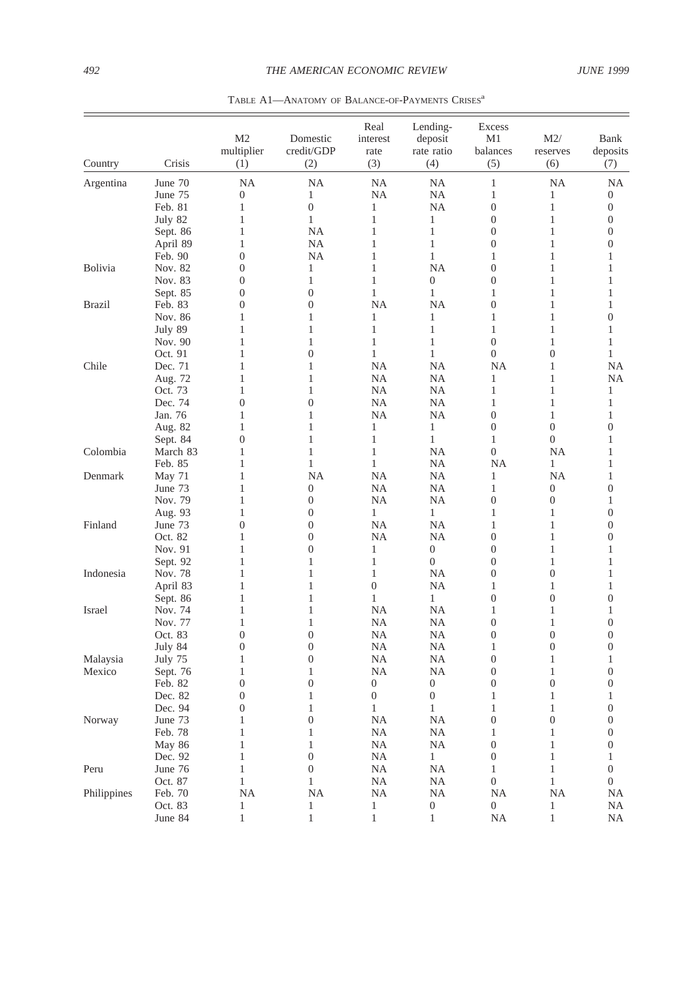| Country        | Crisis   | M <sub>2</sub><br>multiplier<br>(1) | Domestic<br>credit/GDP<br>(2) | Real<br>interest<br>rate<br>(3) | Lending-<br>deposit<br>rate ratio<br>(4) | Excess<br>M1<br>balances<br>(5) | M2/<br>reserves<br>(6) | Bank<br>deposits<br>(7) |
|----------------|----------|-------------------------------------|-------------------------------|---------------------------------|------------------------------------------|---------------------------------|------------------------|-------------------------|
| Argentina      | June 70  | NA                                  | NA                            | <b>NA</b>                       | <b>NA</b>                                | $\mathbf{1}$                    | NA                     | NA                      |
|                | June 75  | 0                                   | 1                             | <b>NA</b>                       | NA                                       | 1                               | 1                      | $\mathbf{0}$            |
|                | Feb. 81  | $\mathbf{1}$                        | $\boldsymbol{0}$              | $\mathbf{1}$                    | <b>NA</b>                                | $\overline{0}$                  | $\mathbf{1}$           | $\boldsymbol{0}$        |
|                | July 82  | $\mathbf{1}$                        | $\mathbf{1}$                  | $\mathbf{1}$                    | 1                                        | $\overline{0}$                  | $\mathbf{1}$           | $\boldsymbol{0}$        |
|                | Sept. 86 | $\mathbf{1}$                        | NA                            | $\mathbf{1}$                    | $\mathbf{1}$                             | $\overline{0}$                  | $\mathbf{1}$           | $\overline{0}$          |
|                | April 89 | $\mathbf{1}$                        | NA                            | $\mathbf{1}$                    | $\mathbf{1}$                             | $\overline{0}$                  | $\mathbf{1}$           | $\boldsymbol{0}$        |
|                | Feb. 90  | $\overline{0}$                      | NA                            | $\mathbf{1}$                    | $\mathbf{1}$                             | 1                               | $\mathbf{1}$           | 1                       |
| <b>Bolivia</b> | Nov. 82  | $\overline{0}$                      | 1                             | $\mathbf{1}$                    | <b>NA</b>                                | $\overline{0}$                  | $\mathbf{1}$           | $\mathbf{1}$            |
|                | Nov. 83  | $\overline{0}$                      | $\mathbf{1}$                  | $\mathbf{1}$                    | $\overline{0}$                           | $\overline{0}$                  | $\mathbf{1}$           | $\mathbf{1}$            |
|                | Sept. 85 | $\overline{0}$                      | $\boldsymbol{0}$              | $\mathbf{1}$                    | $\mathbf{1}$                             | 1                               | $\mathbf{1}$           | $\mathbf{1}$            |
| <b>Brazil</b>  | Feb. 83  | $\overline{0}$                      | $\boldsymbol{0}$              | <b>NA</b>                       | <b>NA</b>                                | $\overline{0}$                  | $\mathbf{1}$           | $\mathbf{1}$            |
|                | Nov. 86  | $\mathbf{1}$                        | $\mathbf{1}$                  | 1                               | 1                                        | 1                               | $\mathbf{1}$           | $\boldsymbol{0}$        |
|                |          | $\mathbf{1}$                        | $\mathbf{1}$                  | $\mathbf{1}$                    | $\mathbf{1}$                             | 1                               | $\mathbf{1}$           | $\mathbf{1}$            |
|                | July 89  | $\mathbf{1}$                        | $\mathbf{1}$                  | $\mathbf{1}$                    | $\mathbf{1}$                             | $\overline{0}$                  | $\mathbf{1}$           | $\mathbf{1}$            |
|                | Nov. 90  |                                     |                               |                                 |                                          |                                 |                        |                         |
|                | Oct. 91  | $\mathbf{1}$                        | $\boldsymbol{0}$              | $\mathbf{1}$                    | $\mathbf{1}$                             | $\overline{0}$                  | $\overline{0}$         | $\mathbf{1}$            |
| Chile          | Dec. 71  | $\mathbf{1}$                        | $\mathbf{1}$                  | <b>NA</b>                       | <b>NA</b>                                | <b>NA</b>                       | $\mathbf{1}$           | NA                      |
|                | Aug. 72  | $\mathbf{1}$                        | $\mathbf{1}$                  | NA                              | <b>NA</b>                                | $\mathbf{1}$                    | $\mathbf{1}$           | NA                      |
|                | Oct. 73  | $\mathbf{1}$                        | $\mathbf{1}$                  | <b>NA</b>                       | <b>NA</b>                                | 1                               | $\mathbf{1}$           | 1                       |
|                | Dec. 74  | $\overline{0}$                      | $\boldsymbol{0}$              | <b>NA</b>                       | <b>NA</b>                                | 1                               | $\mathbf{1}$           | 1                       |
|                | Jan. 76  | $\mathbf{1}$                        | $\mathbf{1}$                  | NA                              | NA                                       | $\overline{0}$                  | $\mathbf{1}$           | $\mathbf{1}$            |
|                | Aug. 82  | $\mathbf{1}$                        | $\mathbf{1}$                  | $\mathbf{1}$                    | $\mathbf{1}$                             | $\overline{0}$                  | $\overline{0}$         | $\overline{0}$          |
|                | Sept. 84 | $\overline{0}$                      | $\mathbf{1}$                  | $\mathbf{1}$                    | $\mathbf{1}$                             | $\mathbf{1}$                    | $\overline{0}$         | $\mathbf{1}$            |
| Colombia       | March 83 | $\mathbf{1}$                        | $\mathbf{1}$                  | $\mathbf{1}$                    | <b>NA</b>                                | $\overline{0}$                  | NA                     | 1                       |
|                | Feb. 85  | $\mathbf{1}$                        | $\mathbf{1}$                  | $\mathbf{1}$                    | NA                                       | <b>NA</b>                       | $\mathbf{1}$           | $\mathbf{1}$            |
| Denmark        | May $71$ | $\mathbf{1}$                        | NA                            | <b>NA</b>                       | <b>NA</b>                                | $\mathbf{1}$                    | NA                     | $\mathbf{1}$            |
|                | June 73  | $\mathbf{1}$                        | $\mathbf{0}$                  | <b>NA</b>                       | <b>NA</b>                                | $\mathbf{1}$                    | $\boldsymbol{0}$       | $\boldsymbol{0}$        |
|                | Nov. 79  | $\mathbf{1}$                        | $\boldsymbol{0}$              | <b>NA</b>                       | <b>NA</b>                                | $\overline{0}$                  | $\boldsymbol{0}$       | $\mathbf{1}$            |
|                | Aug. 93  | $\mathbf{1}$                        | $\boldsymbol{0}$              | 1                               | 1                                        | 1                               | $\mathbf{1}$           | $\boldsymbol{0}$        |
| Finland        | June 73  | $\overline{0}$                      | $\boldsymbol{0}$              | <b>NA</b>                       | <b>NA</b>                                | 1                               | $\mathbf{1}$           | $\overline{0}$          |
|                | Oct. 82  | $\mathbf{1}$                        | $\boldsymbol{0}$              | NA                              | NA                                       | $\overline{0}$                  | $\mathbf{1}$           | $\boldsymbol{0}$        |
|                | Nov. 91  | $\mathbf{1}$                        | $\boldsymbol{0}$              | $\mathbf{1}$                    | $\overline{0}$                           | $\overline{0}$                  | $\mathbf{1}$           | 1                       |
|                | Sept. 92 | $\mathbf{1}$                        | $\mathbf{1}$                  | $\mathbf{1}$                    | $\overline{0}$                           | $\overline{0}$                  | $\mathbf{1}$           | $\mathbf{1}$            |
| Indonesia      | Nov. 78  | $\mathbf{1}$                        | $\mathbf{1}$                  | $\mathbf{1}$                    | <b>NA</b>                                | $\overline{0}$                  | $\boldsymbol{0}$       | $\mathbf{1}$            |
|                | April 83 | $\mathbf{1}$                        | $\mathbf{1}$                  | $\overline{0}$                  | NA                                       | 1                               | $\mathbf{1}$           | $\mathbf{1}$            |
|                | Sept. 86 | $\mathbf{1}$                        | $\mathbf{1}$                  | $\mathbf{1}$                    | $\mathbf{1}$                             | $\overline{0}$                  | $\boldsymbol{0}$       | $\overline{0}$          |
| Israel         | Nov. 74  | $\mathbf{1}$                        | $\mathbf{1}$                  | <b>NA</b>                       | NA                                       | 1                               | $\mathbf{1}$           | $\mathbf{1}$            |
|                | Nov. 77  | $\mathbf{1}$                        | $\mathbf{1}$                  | NA                              | <b>NA</b>                                | $\overline{0}$                  | $\mathbf{1}$           | $\overline{0}$          |
|                | Oct. 83  | $\overline{0}$                      | $\boldsymbol{0}$              | <b>NA</b>                       | <b>NA</b>                                | $\boldsymbol{0}$                | $\boldsymbol{0}$       | $\boldsymbol{0}$        |
|                | July 84  | $\overline{0}$                      | $\boldsymbol{0}$              | NA                              | <b>NA</b>                                | 1                               | $\boldsymbol{0}$       | $\boldsymbol{0}$        |
| Malaysia       | July 75  | $\mathbf{1}$                        | $\boldsymbol{0}$              | NA                              | <b>NA</b>                                | $\boldsymbol{0}$                | $\mathbf{1}$           | $\mathbf{1}$            |
| Mexico         | Sept. 76 | $\mathbf{1}$                        | $\mathbf{1}$                  | NA                              | <b>NA</b>                                | $\boldsymbol{0}$                | $\mathbf{1}$           | $\boldsymbol{0}$        |
|                | Feb. 82  | 0                                   | $\boldsymbol{0}$              | 0                               | $\mathbf{0}$                             | $\boldsymbol{0}$                | $\mathbf{0}$           | $\boldsymbol{0}$        |
|                | Dec. 82  | 0                                   | $\mathbf{1}$                  | $\boldsymbol{0}$                | $\boldsymbol{0}$                         | $\mathbf{1}$                    | $\mathbf{1}$           | 1                       |
|                | Dec. 94  | $\mathbf{0}$                        | $\mathbf{1}$                  | 1                               | 1                                        | $\mathbf{1}$                    | $\mathbf{1}$           | $\boldsymbol{0}$        |
| Norway         | June 73  | 1                                   | $\boldsymbol{0}$              | $\rm NA$                        | <b>NA</b>                                | $\boldsymbol{0}$                | $\boldsymbol{0}$       | $\boldsymbol{0}$        |
|                | Feb. 78  | $\,1$                               | $\mathbf{1}$                  | $\rm NA$                        | NA                                       | $\mathbf{1}$                    | $\,1$                  | $\boldsymbol{0}$        |
|                | May 86   | $\mathbf{1}$                        | 1                             | $\rm NA$                        | NA                                       | $\boldsymbol{0}$                | $\,1$                  | $\boldsymbol{0}$        |
|                | Dec. 92  | $\mathbf{1}$                        | $\boldsymbol{0}$              | $\rm NA$                        | $\mathbf{1}$                             | $\boldsymbol{0}$                | $\,1$                  | $\mathbf{1}$            |
| Peru           | June 76  | $\mathbf{1}$                        | $\boldsymbol{0}$              | NA                              | NA                                       | 1                               | $\mathbf{1}$           | $\boldsymbol{0}$        |
|                | Oct. 87  | $\mathbf{1}$                        | $\mathbf{1}$                  |                                 |                                          |                                 | $\,1$                  | $\boldsymbol{0}$        |
|                | Feb. 70  |                                     |                               | $\rm NA$                        | NA                                       | $\boldsymbol{0}$                |                        |                         |
| Philippines    |          | $_{\rm NA}$                         | $\rm NA$                      | $\rm NA$                        | <b>NA</b>                                | $\rm NA$                        | $_{\rm NA}$            | $\rm NA$                |
|                | Oct. 83  | $\mathbf{1}$                        | $\mathbf{1}$                  | $\mathbf{1}$                    | $\boldsymbol{0}$                         | $\boldsymbol{0}$                | $\mathbf{1}$           | $\rm NA$                |
|                | June 84  | $\mathbf{1}$                        | $\mathbf{1}$                  | $\mathbf{1}$                    | $\mathbf{1}$                             | NA                              | $\,1\,$                | <b>NA</b>               |

TABLE A1—ANATOMY OF BALANCE-OF-PAYMENTS CRISES<sup>a</sup>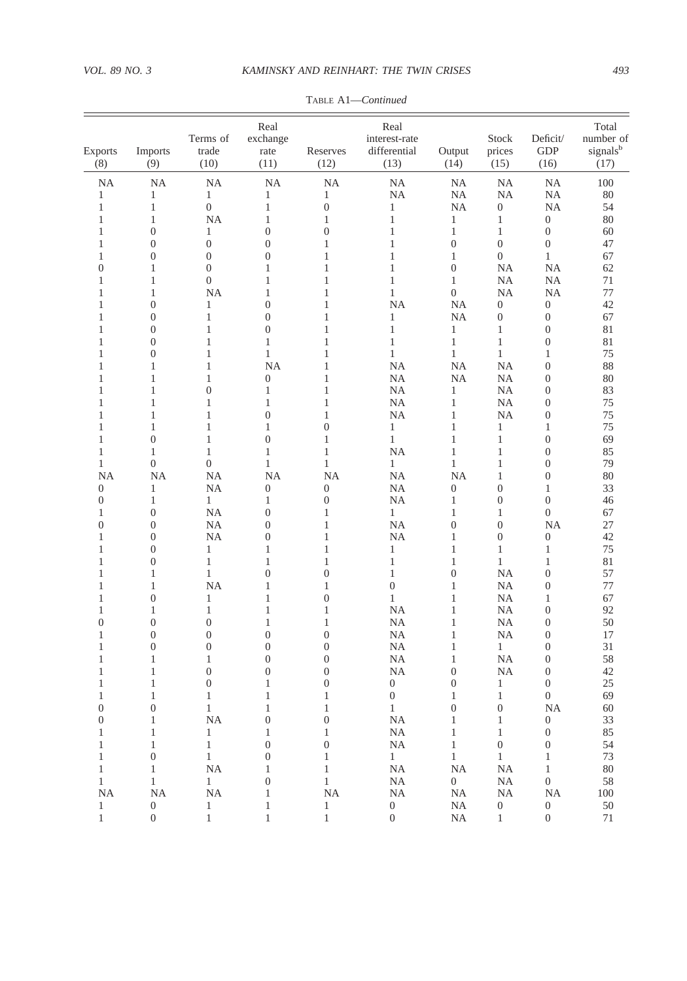| <b>Exports</b><br>(8) | Imports<br>(9)                   | Terms of<br>trade<br>(10)    | Real<br>exchange<br>rate<br>(11) | Reserves<br>(12)                 | Real<br>interest-rate<br>differential<br>(13) | Output<br>(14)               | Stock<br>prices<br>(15) | Deficit/<br><b>GDP</b><br>(16)   | Total<br>number of<br>signalsb<br>(17) |
|-----------------------|----------------------------------|------------------------------|----------------------------------|----------------------------------|-----------------------------------------------|------------------------------|-------------------------|----------------------------------|----------------------------------------|
|                       |                                  |                              |                                  |                                  |                                               |                              |                         |                                  |                                        |
| NA<br>1               | $\rm NA$<br>$\mathbf{1}$         | $\rm NA$<br>$\mathbf{1}$     | NA<br>1                          | NA<br>1                          | NA<br>$\rm NA$                                | NA<br>NA                     | NA<br>NA                | NA<br>NA                         | $100\,$<br>80                          |
| $\mathbf{1}$          | $\mathbf{1}$                     | $\boldsymbol{0}$             | $\mathbf{1}$                     | $\boldsymbol{0}$                 | $\mathbf{1}$                                  | NA                           | $\boldsymbol{0}$        | NA                               | 54                                     |
| 1                     | $\mathbf{1}$                     | NA                           | $\mathbf{1}$                     | 1                                | $\mathbf{1}$                                  | $\mathbf{1}$                 | $\mathbf{1}$            | $\boldsymbol{0}$                 | 80                                     |
| 1                     | $\boldsymbol{0}$                 | $\mathbf{1}$                 | $\boldsymbol{0}$                 | $\boldsymbol{0}$                 | $\mathbf{1}$                                  | $\mathbf{1}$                 | $\mathbf{1}$            | $\boldsymbol{0}$                 | 60                                     |
| 1                     | $\boldsymbol{0}$                 | $\boldsymbol{0}$             | $\boldsymbol{0}$                 | 1                                | $\mathbf{1}$                                  | $\boldsymbol{0}$             | $\boldsymbol{0}$        | $\boldsymbol{0}$                 | 47                                     |
| 1                     | $\boldsymbol{0}$                 | $\boldsymbol{0}$             | $\boldsymbol{0}$                 | $\mathbf{1}$                     | $\mathbf{1}$                                  | $\mathbf{1}$                 | $\boldsymbol{0}$        | $\mathbf{1}$                     | 67                                     |
| $\overline{0}$        | $\mathbf{1}$                     | $\mathbf{0}$                 | 1                                | $\mathbf{1}$                     | $\mathbf{1}$                                  | $\overline{0}$               | <b>NA</b>               | NA                               | 62                                     |
| 1                     | $\mathbf{1}$                     | $\boldsymbol{0}$             | $\mathbf{1}$                     | $\mathbf{1}$                     | $\mathbf{1}$                                  | $\mathbf{1}$                 | NA                      | NA                               | 71                                     |
| 1                     | 1                                | NA                           | 1                                | $\mathbf{1}$                     | $\mathbf{1}$                                  | $\boldsymbol{0}$             | NA                      | NA                               | 77                                     |
| 1                     | $\boldsymbol{0}$                 | 1                            | $\boldsymbol{0}$                 | $\mathbf{1}$                     | $\rm NA$                                      | NA                           | 0                       | $\boldsymbol{0}$                 | 42                                     |
| 1                     | $\boldsymbol{0}$                 | $\mathbf{1}$                 | $\boldsymbol{0}$                 | $\mathbf{1}$                     | $\mathbf{1}$                                  | NA                           | $\boldsymbol{0}$        | $\boldsymbol{0}$                 | 67                                     |
| 1                     | $\boldsymbol{0}$                 | $\mathbf{1}$                 | $\boldsymbol{0}$                 | $\mathbf{1}$                     | $\mathbf{1}$                                  | $\mathbf{1}$                 | $\mathbf{1}$            | $\boldsymbol{0}$                 | $81\,$                                 |
| 1                     | $\boldsymbol{0}$                 | 1                            | 1                                | $\mathbf{1}$                     | $\mathbf{1}$                                  | $\mathbf{1}$                 | $\mathbf{1}$            | $\boldsymbol{0}$                 | 81                                     |
| 1                     | $\boldsymbol{0}$                 | $\mathbf{1}$                 | $\mathbf{1}$                     | $\mathbf{1}$                     | $\mathbf{1}$                                  | $\mathbf{1}$                 | $1\,$                   | $\mathbf{1}$                     | 75                                     |
| 1                     | 1                                | 1                            | NA                               | $\mathbf{1}$                     | NA                                            | NA                           | NA                      | $\boldsymbol{0}$                 | 88                                     |
| 1                     | $\mathbf{1}$                     | $\mathbf{1}$                 | $\boldsymbol{0}$                 | $\mathbf{1}$                     | $\rm NA$                                      | NA                           | <b>NA</b>               | $\boldsymbol{0}$                 | $80\,$                                 |
| 1                     | 1                                | $\boldsymbol{0}$             | $\mathbf{1}$                     | $\mathbf{1}$                     | NA                                            | $\mathbf{1}$                 | <b>NA</b>               | $\boldsymbol{0}$                 | 83                                     |
| 1                     | $\mathbf{1}$                     | $\mathbf{1}$                 | $\mathbf{1}$                     | $\mathbf{1}$                     | NA                                            | $\mathbf{1}$                 | <b>NA</b>               | $\boldsymbol{0}$                 | $75\,$                                 |
| 1                     | 1                                | 1                            | $\boldsymbol{0}$                 | 1                                | NA                                            | $\mathbf{1}$                 | <b>NA</b>               | $\boldsymbol{0}$                 | 75                                     |
| 1                     | $\mathbf{1}$                     | $\mathbf{1}$                 | $\mathbf{1}$                     | $\boldsymbol{0}$                 | 1                                             | $\mathbf{1}$                 | $\mathbf{1}$            | $\mathbf{1}$                     | $75\,$                                 |
| 1                     | $\boldsymbol{0}$                 | $\mathbf{1}$                 | $\boldsymbol{0}$                 | 1                                | $\mathbf{1}$                                  | $\mathbf{1}$                 | $\mathbf{1}$            | $\boldsymbol{0}$                 | 69                                     |
| 1                     | $\mathbf{1}$                     | $\mathbf{1}$                 | $\mathbf{1}$                     | $\mathbf{1}$                     | NA                                            | $\mathbf{1}$                 | $\mathbf{1}$            | $\boldsymbol{0}$                 | 85                                     |
| 1                     | $\boldsymbol{0}$                 | $\boldsymbol{0}$             | $\mathbf{1}$                     | $\mathbf{1}$                     | $\mathbf{1}$                                  | $\mathbf{1}$                 | $\mathbf{1}$            | $\boldsymbol{0}$                 | 79                                     |
| <b>NA</b>             | NA                               | $\rm NA$                     | NA                               | NA                               | $\rm NA$                                      | NA                           | $\mathbf{1}$            | $\boldsymbol{0}$                 | $80\,$                                 |
| $\boldsymbol{0}$      | $\mathbf{1}$                     | NA                           | $\boldsymbol{0}$                 | $\boldsymbol{0}$                 | NA                                            | $\mathbf{0}$                 | $\boldsymbol{0}$        | $\mathbf{1}$                     | 33                                     |
| $\boldsymbol{0}$      | $\mathbf{1}$                     | $\mathbf{1}$                 | $\mathbf{1}$                     | $\boldsymbol{0}$                 | NA                                            | $\mathbf{1}$                 | $\boldsymbol{0}$        | $\boldsymbol{0}$                 | 46                                     |
| 1                     | $\boldsymbol{0}$                 | NA                           | $\boldsymbol{0}$                 | $\mathbf{1}$                     | $\mathbf{1}$                                  | $\mathbf{1}$                 | $\mathbf{1}$            | $\boldsymbol{0}$                 | 67                                     |
| $\boldsymbol{0}$      | $\boldsymbol{0}$                 | NA                           | $\boldsymbol{0}$                 | $\mathbf{1}$                     | $\rm NA$                                      | $\boldsymbol{0}$             | $\boldsymbol{0}$        | NA                               | 27                                     |
| 1                     | $\boldsymbol{0}$                 | NA                           | $\boldsymbol{0}$                 | $\mathbf{1}$                     | NA                                            | $\mathbf{1}$                 | $\boldsymbol{0}$        | $\boldsymbol{0}$                 | 42                                     |
| 1                     | $\boldsymbol{0}$                 | $\mathbf{1}$                 | $\mathbf{1}$                     | $\mathbf{1}$                     | $\mathbf{1}$                                  | $\mathbf{1}$                 | $\mathbf{1}$            | $\mathbf{1}$                     | 75                                     |
| 1                     | $\boldsymbol{0}$                 | $\mathbf{1}$                 | 1                                | $\mathbf{1}$                     | $\mathbf{1}$                                  | $\mathbf{1}$                 | $\mathbf{1}$            | $\mathbf{1}$                     | 81                                     |
| 1                     | $\mathbf{1}$                     | $\mathbf{1}$<br>NA           | $\boldsymbol{0}$                 | $\boldsymbol{0}$                 | $\mathbf{1}$<br>$\boldsymbol{0}$              | $\boldsymbol{0}$             | NA                      | $\boldsymbol{0}$                 | 57                                     |
| 1                     | 1                                |                              | 1                                | $\mathbf{1}$                     | $\mathbf{1}$                                  | $\mathbf{1}$                 | <b>NA</b>               | $\boldsymbol{0}$                 | 77                                     |
| 1<br>1                | $\boldsymbol{0}$<br>$\mathbf{1}$ | $\mathbf{1}$<br>$\mathbf{1}$ | $\mathbf{1}$<br>$\mathbf{1}$     | $\boldsymbol{0}$<br>$\mathbf{1}$ | NA                                            | $\mathbf{1}$<br>$\mathbf{1}$ | <b>NA</b><br>NA         | $\mathbf{1}$<br>$\boldsymbol{0}$ | 67<br>92                               |
| $\boldsymbol{0}$      | $\mathbf{0}$                     | $\boldsymbol{0}$             | $\mathbf{1}$                     | $\mathbf{1}$                     | $\rm NA$                                      | $\mathbf{1}$                 | <b>NA</b>               | $\boldsymbol{0}$                 | 50                                     |
| 1                     | $\boldsymbol{0}$                 | $\boldsymbol{0}$             | $\boldsymbol{0}$                 | $\boldsymbol{0}$                 | NA                                            | 1                            | <b>NA</b>               | $\boldsymbol{0}$                 | 17                                     |
| 1                     | $\mathbf{0}$                     | $\boldsymbol{0}$             | $\boldsymbol{0}$                 | $\boldsymbol{0}$                 | $\rm NA$                                      | $\mathbf{1}$                 | $\mathbf{1}$            | $\boldsymbol{0}$                 | 31                                     |
| 1                     | $\mathbf{1}$                     | 1                            | $\boldsymbol{0}$                 | $\boldsymbol{0}$                 | NA                                            | $\mathbf{1}$                 | NA                      | $\boldsymbol{0}$                 | 58                                     |
| 1                     | $\mathbf{1}$                     | $\boldsymbol{0}$             | $\boldsymbol{0}$                 | $\boldsymbol{0}$                 | NA                                            | $\boldsymbol{0}$             | NA                      | $\boldsymbol{0}$                 | 42                                     |
| 1                     | $\mathbf{1}$                     | $\boldsymbol{0}$             | 1                                | $\boldsymbol{0}$                 | $\boldsymbol{0}$                              | $\boldsymbol{0}$             | $\mathbf{1}$            | $\boldsymbol{0}$                 | 25                                     |
| 1                     | $\mathbf{1}$                     | 1                            | $\mathbf{1}$                     | $\mathbf{1}$                     | $\boldsymbol{0}$                              | $\mathbf{1}$                 | $\mathbf{1}$            | $\boldsymbol{0}$                 | 69                                     |
| $\boldsymbol{0}$      | $\boldsymbol{0}$                 | 1                            | $\mathbf{1}$                     | $\mathbf{1}$                     | $\mathbf{1}$                                  | $\overline{0}$               | $\boldsymbol{0}$        | NA                               | 60                                     |
| 0                     | 1                                | NA                           | $\overline{\phantom{0}}$         | $\overline{\phantom{0}}$         | $\rm NA$                                      | $\mathbf{1}$                 | $\frac{1}{2}$           | $\mathbf{U}$                     | 33                                     |
| $\mathbf{1}$          | $\mathbf{1}$                     | $\mathbf{1}$                 | $\mathbf{1}$                     | $\mathbf{1}$                     | NA                                            | $\mathbf{1}$                 | $\overline{1}$          | $\boldsymbol{0}$                 | 85                                     |
| $\mathbf{1}$          | $\mathbf{1}$                     | 1                            | $\overline{0}$                   | $\overline{0}$                   | NA                                            | $\mathbf{1}$                 | $\overline{0}$          | $\mathbf{0}$                     | 54                                     |
| 1                     | $\boldsymbol{0}$                 | $\mathbf{1}$                 | $\overline{0}$                   | $\mathbf{1}$                     | 1                                             | $\mathbf{1}$                 | $\mathbf{1}$            | $\mathbf{1}$                     | 73                                     |
| $\mathbf{1}$          | $\mathbf{1}$                     | NA                           | $\mathbf{1}$                     | $\mathbf{1}$                     | $\rm NA$                                      | NA                           | NA                      | $\mathbf{1}$                     | $80\,$                                 |
| $\mathbf{1}$          | $\mathbf{1}$                     | $\mathbf{1}$                 | $\boldsymbol{0}$                 | $\mathbf{1}$                     | NA                                            | $\overline{0}$               | NA                      | $\boldsymbol{0}$                 | 58                                     |
| $\rm NA$              | NA                               | $_{\rm NA}$                  | $\mathbf{1}$                     | NA                               | NA                                            | $\rm NA$                     | NA                      | NA                               | 100                                    |
| $\mathbf{1}$          | $\boldsymbol{0}$                 | $\mathbf{1}$                 | $\mathbf{1}$                     | $\mathbf{1}$                     | $\overline{0}$                                | NA                           | $\overline{0}$          | $\boldsymbol{0}$                 | 50                                     |
| $\mathbf{1}$          | $\overline{0}$                   | $\mathbf{1}$                 | $\mathbf{1}$                     | $\,1$                            | $\overline{0}$                                | $_{\rm NA}$                  | $\mathbf{1}$            | $\boldsymbol{0}$                 | $71\,$                                 |

TABLE A1—*Continued*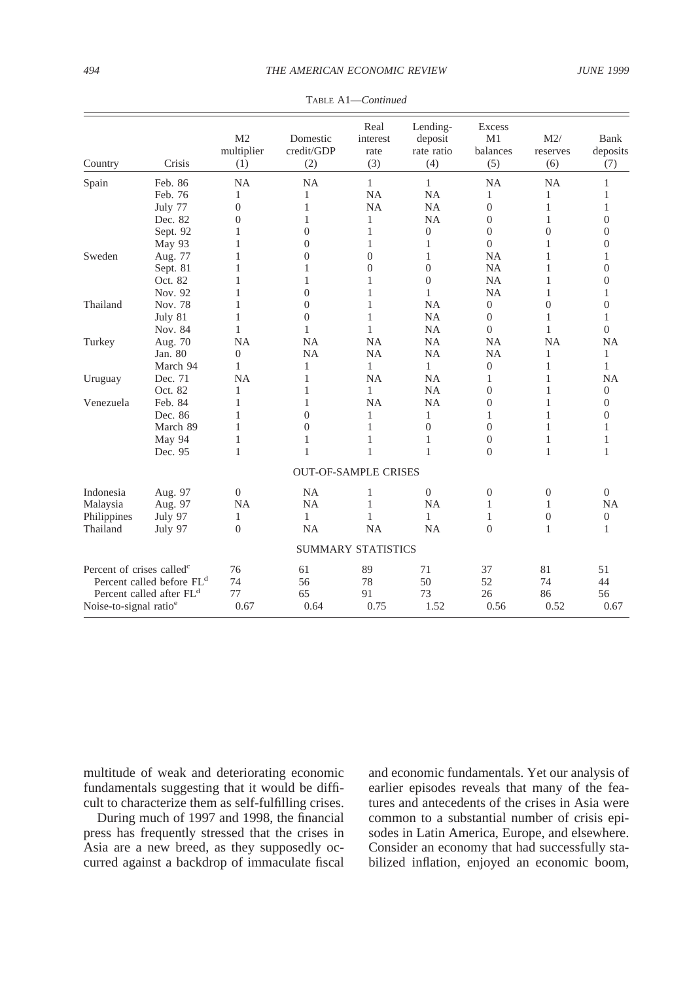| Country                               | Crisis                                | M <sub>2</sub><br>multiplier<br>(1) | Domestic<br>credit/GDP<br>(2) | Real<br>interest<br>rate<br>(3) | Lending-<br>deposit<br>rate ratio<br>(4) | Excess<br>M1<br>balances<br>(5) | M2/<br>reserves<br>(6) | Bank<br>deposits<br>(7) |
|---------------------------------------|---------------------------------------|-------------------------------------|-------------------------------|---------------------------------|------------------------------------------|---------------------------------|------------------------|-------------------------|
| Spain                                 | Feb. 86                               | <b>NA</b>                           | NA                            | 1                               | 1                                        | NA                              | NA                     | 1                       |
|                                       | Feb. 76                               | 1                                   | 1                             | <b>NA</b>                       | <b>NA</b>                                | 1                               | 1                      | 1                       |
|                                       | July 77                               | $\overline{0}$                      | 1                             | <b>NA</b>                       | NA                                       | $\overline{0}$                  | 1                      | 1                       |
|                                       | Dec. 82                               | $\theta$                            | 1                             | 1                               | <b>NA</b>                                | $\overline{0}$                  | 1                      | $\overline{0}$          |
|                                       | Sept. 92                              | 1                                   | $\overline{0}$                | 1                               | $\theta$                                 | $\overline{0}$                  | $\mathbf{0}$           | $\theta$                |
|                                       | May 93                                | 1                                   | $\overline{0}$                | 1                               | 1                                        | $\overline{0}$                  | 1                      | $\theta$                |
| Sweden                                | Aug. 77                               | 1                                   | $\theta$                      | $\mathbf{0}$                    | 1                                        | <b>NA</b>                       | 1                      | 1                       |
|                                       | Sept. 81                              | 1                                   | 1                             | $\overline{0}$                  | $\theta$                                 | <b>NA</b>                       | 1                      | $\overline{0}$          |
|                                       | Oct. 82                               | 1                                   | 1                             | 1                               | $\Omega$                                 | <b>NA</b>                       | 1                      | $\overline{0}$          |
|                                       | Nov. 92                               | 1                                   | $\overline{0}$                | 1                               | 1                                        | <b>NA</b>                       | 1                      | 1                       |
| Thailand                              | Nov. 78                               | 1                                   | $\theta$                      | 1                               | NA                                       | $\Omega$                        | $\mathbf{0}$           | $\overline{0}$          |
|                                       | July 81                               | 1                                   | $\overline{0}$                | 1                               | NA                                       | $\overline{0}$                  | 1                      | 1                       |
|                                       | Nov. 84                               | $\mathbf{1}$                        | $\mathbf{1}$                  | $\mathbf{1}$                    | <b>NA</b>                                | $\overline{0}$                  | 1                      | $\overline{0}$          |
| Turkey                                | Aug. 70                               | <b>NA</b>                           | <b>NA</b>                     | <b>NA</b>                       | <b>NA</b>                                | <b>NA</b>                       | <b>NA</b>              | <b>NA</b>               |
|                                       | Jan. 80                               | $\theta$                            | <b>NA</b>                     | <b>NA</b>                       | NA                                       | <b>NA</b>                       | $\mathbf{1}$           | $\mathbf{1}$            |
|                                       | March 94                              | 1                                   | 1                             | 1                               | 1                                        | $\theta$                        | 1                      | $\mathbf{1}$            |
| Uruguay                               | Dec. 71                               | <b>NA</b>                           | 1                             | NA                              | NA                                       | 1                               | 1                      | NA                      |
|                                       | Oct. 82                               | 1                                   | 1                             | $\mathbf{1}$                    | <b>NA</b>                                | $\overline{0}$                  | $\mathbf{1}$           | $\overline{0}$          |
| Venezuela                             | Feb. 84                               | 1                                   | 1                             | NA                              | NA                                       | $\overline{0}$                  | 1                      | $\overline{0}$          |
|                                       | Dec. 86                               | 1                                   | $\Omega$                      | 1                               | 1                                        | 1                               | 1                      | $\boldsymbol{0}$        |
|                                       | March 89                              | 1                                   | $\overline{0}$                | 1                               | $\theta$                                 | $\overline{0}$                  | 1                      | 1                       |
|                                       | May 94                                | 1                                   | 1                             | 1                               | 1                                        | $\overline{0}$                  | 1                      | 1                       |
|                                       | Dec. 95                               | 1                                   | 1                             | 1                               | 1                                        | $\overline{0}$                  | $\mathbf{1}$           | $\mathbf{1}$            |
|                                       |                                       |                                     |                               | <b>OUT-OF-SAMPLE CRISES</b>     |                                          |                                 |                        |                         |
| Indonesia                             | Aug. 97                               | $\mathbf{0}$                        | NA                            | 1                               | $\overline{0}$                           | $\boldsymbol{0}$                | $\boldsymbol{0}$       | $\theta$                |
| Malaysia                              | Aug. 97                               | <b>NA</b>                           | <b>NA</b>                     | $\mathbf{1}$                    | <b>NA</b>                                | $\mathbf{1}$                    | 1                      | <b>NA</b>               |
| Philippines                           | July 97                               | 1                                   | $\mathbf{1}$                  | 1                               | $\mathbf{1}$                             | 1                               | $\boldsymbol{0}$       | $\mathbf{0}$            |
| Thailand                              | July 97                               | $\overline{0}$                      | <b>NA</b>                     | NA                              | <b>NA</b>                                | $\theta$                        | 1                      | 1                       |
|                                       |                                       |                                     |                               | <b>SUMMARY STATISTICS</b>       |                                          |                                 |                        |                         |
| Percent of crises called <sup>c</sup> |                                       | 76                                  | 61                            | 89                              | 71                                       | 37                              | 81                     | 51                      |
|                                       | Percent called before FL <sup>d</sup> | 74                                  | 56                            | 78                              | 50                                       | 52                              | 74                     | 44                      |
|                                       | Percent called after FL <sup>d</sup>  | 77                                  | 65                            | 91                              | 73                                       | 26                              | 86                     | 56                      |
| Noise-to-signal ratio <sup>e</sup>    |                                       | 0.67                                | 0.64                          | 0.75                            | 1.52                                     | 0.56                            | 0.52                   | 0.67                    |

TABLE A1—*Continued*

multitude of weak and deteriorating economic fundamentals suggesting that it would be difficult to characterize them as self-fulfilling crises.

During much of 1997 and 1998, the financial press has frequently stressed that the crises in Asia are a new breed, as they supposedly occurred against a backdrop of immaculate fiscal and economic fundamentals. Yet our analysis of earlier episodes reveals that many of the features and antecedents of the crises in Asia were common to a substantial number of crisis episodes in Latin America, Europe, and elsewhere. Consider an economy that had successfully stabilized inflation, enjoyed an economic boom,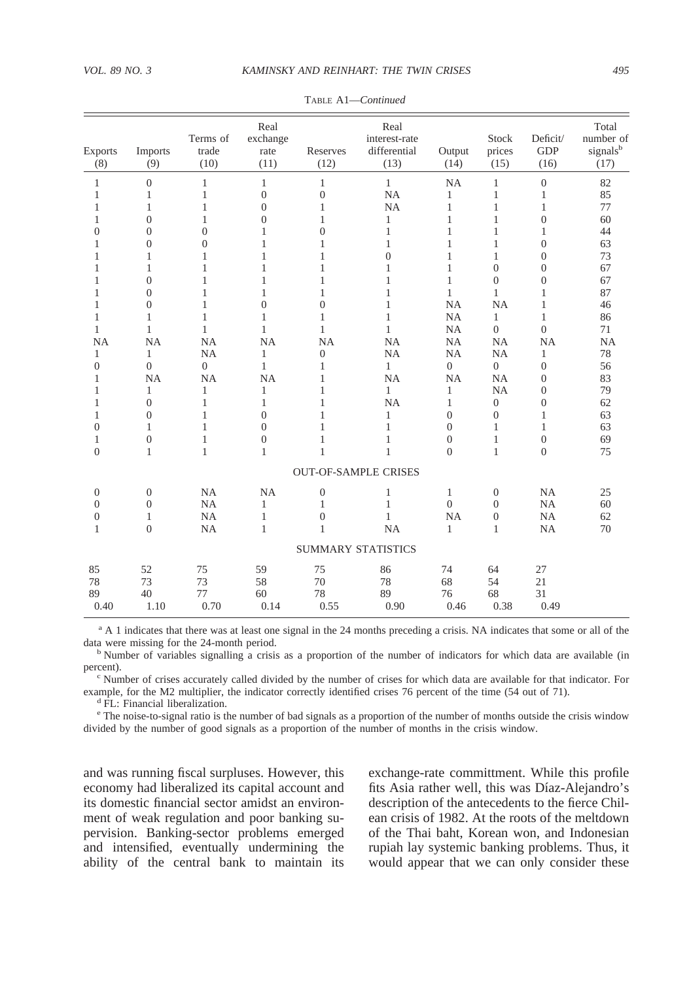| <b>Exports</b><br>(8) | Imports<br>(9)   | Terms of<br>trade<br>(10) | Real<br>exchange<br>rate<br>(11) | Reserves<br>(12) | Real<br>interest-rate<br>differential<br>(13) | Output<br>(14)   | Stock<br>prices<br>(15) | Deficit/<br><b>GDP</b><br>(16) | Total<br>number of<br>signalsb<br>(17) |
|-----------------------|------------------|---------------------------|----------------------------------|------------------|-----------------------------------------------|------------------|-------------------------|--------------------------------|----------------------------------------|
| $\mathbf{1}$          | $\overline{0}$   | $\mathbf{1}$              | 1                                | $\mathbf{1}$     | $\mathbf{1}$                                  | <b>NA</b>        | 1                       | $\overline{0}$                 | 82                                     |
| 1                     | 1                | $\mathbf{1}$              | $\boldsymbol{0}$                 | $\overline{0}$   | NA                                            | 1                | $\mathbf{1}$            | 1                              | 85                                     |
| 1                     | 1                | $\mathbf{1}$              | $\overline{0}$                   | 1                | <b>NA</b>                                     | $\mathbf{1}$     | 1                       | 1                              | 77                                     |
| $\mathbf{1}$          | $\overline{0}$   | $\mathbf{1}$              | $\overline{0}$                   | 1                | $\mathbf{1}$                                  | $\mathbf{1}$     | 1                       | $\Omega$                       | 60                                     |
| $\overline{0}$        | $\Omega$         | $\overline{0}$            | $\mathbf{1}$                     | $\Omega$         | $\mathbf{1}$                                  | $\mathbf{1}$     | 1                       | 1                              | 44                                     |
| 1                     | $\overline{0}$   | $\overline{0}$            | 1                                | 1                | $\mathbf{1}$                                  | $\mathbf{1}$     | 1                       | $\theta$                       | 63                                     |
| 1                     | 1                | 1                         | 1                                | 1                | $\overline{0}$                                | $\mathbf{1}$     | 1                       | $\Omega$                       | 73                                     |
| 1                     | 1                | 1                         | $\mathbf{1}$                     | 1                | 1                                             | $\mathbf{1}$     | $\overline{0}$          | $\overline{0}$                 | 67                                     |
| 1                     | $\overline{0}$   | $\mathbf{1}$              | $\mathbf{1}$                     | 1                | 1                                             | $\mathbf{1}$     | $\overline{0}$          | $\overline{0}$                 | 67                                     |
| 1                     | $\overline{0}$   | $\mathbf{1}$              | $\mathbf{1}$                     | 1                | 1                                             | $\mathbf{1}$     | $\mathbf{1}$            | 1                              | 87                                     |
| 1                     | $\overline{0}$   | $\mathbf{1}$              | $\overline{0}$                   | $\overline{0}$   | 1                                             | NA               | NA                      | 1                              | 46                                     |
| 1                     | 1                | $\mathbf{1}$              | $\mathbf{1}$                     | 1                | 1                                             | <b>NA</b>        | $\mathbf{1}$            | 1                              | 86                                     |
| 1                     | 1                | $\mathbf{1}$              | $\mathbf{1}$                     | $\mathbf{1}$     | 1                                             | NA               | $\overline{0}$          | $\theta$                       | 71                                     |
| NA                    | <b>NA</b>        | NA                        | <b>NA</b>                        | <b>NA</b>        | NA                                            | <b>NA</b>        | <b>NA</b>               | NA                             | NA                                     |
| 1                     | 1                | NA                        | $\mathbf{1}$                     | $\overline{0}$   | <b>NA</b>                                     | <b>NA</b>        | <b>NA</b>               | $\mathbf{1}$                   | 78                                     |
| $\overline{0}$        | $\Omega$         | $\Omega$                  | $\mathbf{1}$                     | 1                | $\mathbf{1}$                                  | $\overline{0}$   | $\Omega$                | $\Omega$                       | 56                                     |
| 1                     | <b>NA</b>        | NA                        | <b>NA</b>                        | 1                | <b>NA</b>                                     | <b>NA</b>        | NA                      | $\Omega$                       | 83                                     |
| 1                     | 1                | $\mathbf{1}$              | 1                                | 1                | 1                                             | $\mathbf{1}$     | NA                      | $\Omega$                       | 79                                     |
| 1                     | $\overline{0}$   | $\mathbf{1}$              | 1                                | 1                | <b>NA</b>                                     | 1                | $\overline{0}$          | $\theta$                       | 62                                     |
| 1                     | $\overline{0}$   | $\mathbf{1}$              | $\overline{0}$                   | 1                | $\mathbf{1}$                                  | $\overline{0}$   | $\overline{0}$          | 1                              | 63                                     |
| $\overline{0}$        | 1                | $\mathbf{1}$              | $\mathbf{0}$                     | 1                | $\mathbf{1}$                                  | $\overline{0}$   | $\mathbf{1}$            | $\mathbf{1}$                   | 63                                     |
| 1                     | $\boldsymbol{0}$ | $\mathbf{1}$              | $\boldsymbol{0}$                 | 1                | 1                                             | $\boldsymbol{0}$ | $\mathbf{1}$            | $\overline{0}$                 | 69                                     |
| $\overline{0}$        | 1                | $\mathbf{1}$              | $\mathbf{1}$                     | 1                | 1                                             | $\overline{0}$   | $\mathbf{1}$            | $\theta$                       | 75                                     |
|                       |                  |                           |                                  |                  | <b>OUT-OF-SAMPLE CRISES</b>                   |                  |                         |                                |                                        |
| $\theta$              | $\overline{0}$   | <b>NA</b>                 | <b>NA</b>                        | $\Omega$         | 1                                             | 1                | $\theta$                | <b>NA</b>                      | 25                                     |
| $\overline{0}$        | $\overline{0}$   | NA                        | 1                                | $\mathbf{1}$     | 1                                             | $\overline{0}$   | $\overline{0}$          | <b>NA</b>                      | 60                                     |
| $\mathbf{0}$          | $\mathbf{1}$     | NA                        | $\mathbf{1}$                     | $\overline{0}$   | 1                                             | NA               | $\boldsymbol{0}$        | <b>NA</b>                      | 62                                     |
| $\mathbf{1}$          | $\overline{0}$   | NA                        | $\mathbf{1}$                     | 1                | NA                                            | $\mathbf{1}$     | $\mathbf{1}$            | NA                             | 70                                     |
|                       |                  |                           |                                  |                  |                                               |                  |                         |                                |                                        |
|                       |                  |                           |                                  |                  | SUMMARY STATISTICS                            |                  |                         |                                |                                        |
| 85                    | 52               | 75                        | 59                               | 75               | 86                                            | 74               | 64                      | 27                             |                                        |
| 78                    | 73               | 73                        | 58                               | 70               | 78                                            | 68               | 54                      | 21                             |                                        |
| 89                    | 40               | 77                        | 60                               | 78               | 89                                            | 76               | 68                      | 31                             |                                        |
| 0.40                  | 1.10             | 0.70                      | 0.14                             | 0.55             | 0.90                                          | 0.46             | 0.38                    | 0.49                           |                                        |

TABLE A1—*Continued*

<sup>a</sup> A 1 indicates that there was at least one signal in the 24 months preceding a crisis. NA indicates that some or all of the data were missing for the 24-month period.

<sup>b</sup> Number of variables signalling a crisis as a proportion of the number of indicators for which data are available (in

percent).<br><sup>c</sup> Number of crises accurately called divided by the number of crises for which data are available for that indicator. For example, for the M2 multiplier, the indicator correctly identified crises 76 percent of the time (54 out of 71).<br><sup>d</sup> FL: Financial liberalization.

<sup>e</sup> The noise-to-signal ratio is the number of bad signals as a proportion of the number of months outside the crisis window divided by the number of good signals as a proportion of the number of months in the crisis window.

and was running fiscal surpluses. However, this economy had liberalized its capital account and its domestic financial sector amidst an environment of weak regulation and poor banking supervision. Banking-sector problems emerged and intensified, eventually undermining the ability of the central bank to maintain its

exchange-rate committment. While this profile fits Asia rather well, this was Díaz-Alejandro's description of the antecedents to the fierce Chilean crisis of 1982. At the roots of the meltdown of the Thai baht, Korean won, and Indonesian rupiah lay systemic banking problems. Thus, it would appear that we can only consider these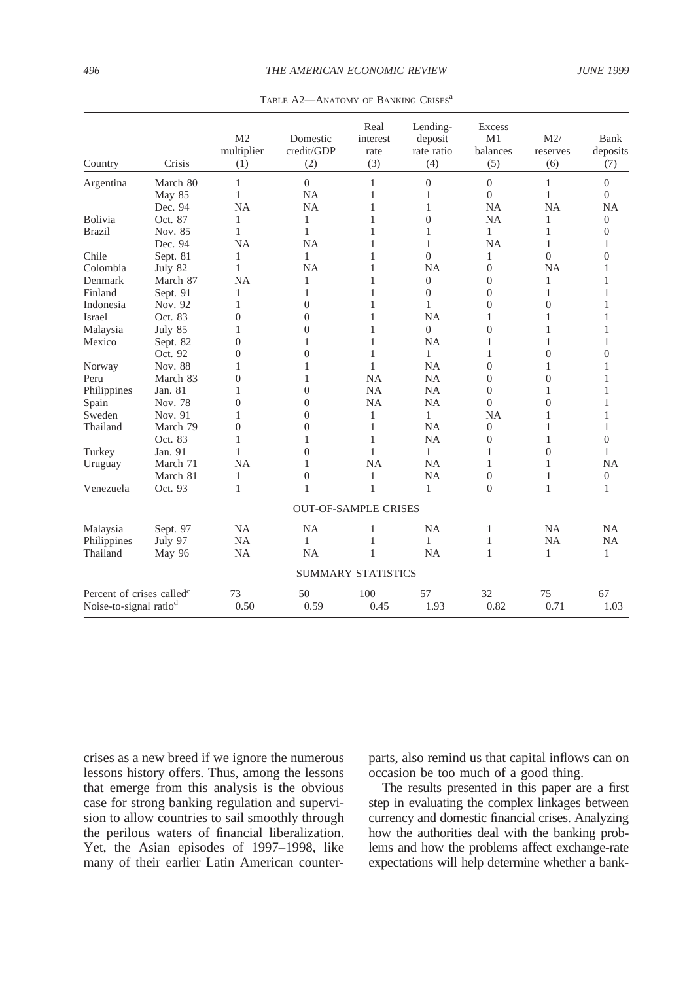| Country                               | Crisis   | M <sub>2</sub><br>multiplier<br>(1) | Domestic<br>credit/GDP<br>(2) | Real<br>interest<br>rate<br>(3) | Lending-<br>deposit<br>rate ratio<br>(4) | Excess<br>M1<br>balances<br>(5) | M2/<br>reserves<br>(6) | Bank<br>deposits<br>(7) |
|---------------------------------------|----------|-------------------------------------|-------------------------------|---------------------------------|------------------------------------------|---------------------------------|------------------------|-------------------------|
| Argentina                             | March 80 | 1                                   | $\theta$                      | 1                               | $\overline{0}$                           | $\theta$                        | 1                      | $\theta$                |
|                                       | May 85   | $\mathbf{1}$                        | <b>NA</b>                     | 1                               | $\mathbf{1}$                             | $\theta$                        | $\mathbf{1}$           | $\theta$                |
|                                       | Dec. 94  | NA                                  | <b>NA</b>                     | 1                               | 1                                        | <b>NA</b>                       | <b>NA</b>              | <b>NA</b>               |
| Bolivia                               | Oct. 87  | 1                                   | 1                             | 1                               | $\overline{0}$                           | <b>NA</b>                       | 1                      | $\mathbf{0}$            |
| <b>Brazil</b>                         | Nov. 85  | $\mathbf{1}$                        | 1                             | 1                               | $\mathbf{1}$                             | 1                               | 1                      | $\theta$                |
|                                       | Dec. 94  | NA                                  | <b>NA</b>                     | 1                               | 1                                        | <b>NA</b>                       | 1                      | 1                       |
| Chile                                 | Sept. 81 | 1                                   | 1                             | 1                               | $\overline{0}$                           | 1                               | $\overline{0}$         | $\overline{0}$          |
| Colombia                              | July 82  | 1                                   | <b>NA</b>                     | 1                               | <b>NA</b>                                | $\overline{0}$                  | <b>NA</b>              | 1                       |
| Denmark                               | March 87 | <b>NA</b>                           | 1                             | 1                               | $\Omega$                                 | $\overline{0}$                  | 1                      | 1                       |
| Finland                               | Sept. 91 | 1                                   | 1                             | 1                               | $\Omega$                                 | $\overline{0}$                  | 1                      | 1                       |
| Indonesia                             | Nov. 92  | 1                                   | $\theta$                      | 1                               | $\mathbf{1}$                             | $\overline{0}$                  | $\overline{0}$         | 1                       |
| Israel                                | Oct. 83  | $\theta$                            | $\Omega$                      | $\mathbf{1}$                    | NA                                       | $\mathbf{1}$                    | 1                      | 1                       |
| Malaysia                              | July 85  | $\mathbf{1}$                        | $\overline{0}$                | $\mathbf{1}$                    | $\Omega$                                 | $\mathbf{0}$                    | $\mathbf{1}$           | 1                       |
| Mexico                                | Sept. 82 | $\overline{0}$                      | 1                             | 1                               | <b>NA</b>                                | $\mathbf{1}$                    | 1                      | 1                       |
|                                       | Oct. 92  | $\theta$                            | $\overline{0}$                | 1                               | $\mathbf{1}$                             | 1                               | $\mathbf{0}$           | $\boldsymbol{0}$        |
| Norway                                | Nov. 88  | 1                                   | 1                             | 1                               | <b>NA</b>                                | $\overline{0}$                  | 1                      | 1                       |
| Peru                                  | March 83 | $\Omega$                            | 1                             | NA                              | NA                                       | $\Omega$                        | $\overline{0}$         | 1                       |
| Philippines                           | Jan. 81  | 1                                   | $\overline{0}$                | <b>NA</b>                       | NA                                       | $\overline{0}$                  | 1                      | 1                       |
| Spain                                 | Nov. 78  | $\overline{0}$                      | $\theta$                      | <b>NA</b>                       | NA                                       | $\overline{0}$                  | $\overline{0}$         | 1                       |
| Sweden                                | Nov. 91  | 1                                   | $\Omega$                      | 1                               | 1                                        | <b>NA</b>                       | 1                      | 1                       |
| Thailand                              | March 79 | $\Omega$                            | $\theta$                      | 1                               | NA                                       | $\overline{0}$                  | 1                      | 1                       |
|                                       | Oct. 83  | $\mathbf{1}$                        | 1                             | 1                               | <b>NA</b>                                | $\overline{0}$                  | 1                      | $\overline{0}$          |
| Turkey                                | Jan. 91  | $\mathbf{1}$                        | $\overline{0}$                | 1                               | 1                                        | $\mathbf{1}$                    | $\overline{0}$         | $\mathbf{1}$            |
| Uruguay                               | March 71 | <b>NA</b>                           | 1                             | <b>NA</b>                       | NA                                       | $\mathbf{1}$                    | $\mathbf{1}$           | <b>NA</b>               |
|                                       | March 81 | 1                                   | $\overline{0}$                | 1                               | <b>NA</b>                                | $\overline{0}$                  | 1                      | $\theta$                |
| Venezuela                             | Oct. 93  | $\mathbf{1}$                        | 1                             | 1                               | 1                                        | $\overline{0}$                  | 1                      | 1                       |
|                                       |          |                                     |                               | <b>OUT-OF-SAMPLE CRISES</b>     |                                          |                                 |                        |                         |
| Malaysia                              | Sept. 97 | <b>NA</b>                           | <b>NA</b>                     | 1                               | <b>NA</b>                                | 1                               | <b>NA</b>              | <b>NA</b>               |
| Philippines                           | July 97  | <b>NA</b>                           | 1                             | 1                               | $\mathbf{1}$                             | 1                               | NA                     | <b>NA</b>               |
| Thailand                              | May 96   | <b>NA</b>                           | NA                            | 1                               | <b>NA</b>                                | 1                               | 1                      | 1                       |
|                                       |          |                                     |                               | <b>SUMMARY STATISTICS</b>       |                                          |                                 |                        |                         |
| Percent of crises called <sup>c</sup> |          | 73                                  | 50                            | 100                             | 57                                       | 32                              | 75                     | 67                      |
| Noise-to-signal ratio <sup>d</sup>    |          | 0.50                                | 0.59                          | 0.45                            | 1.93                                     | 0.82                            | 0.71                   | 1.03                    |

TABLE A2-ANATOMY OF BANKING CRISES<sup>a</sup>

crises as a new breed if we ignore the numerous lessons history offers. Thus, among the lessons that emerge from this analysis is the obvious case for strong banking regulation and supervision to allow countries to sail smoothly through the perilous waters of financial liberalization. Yet, the Asian episodes of 1997–1998, like many of their earlier Latin American counter-

parts, also remind us that capital inflows can on occasion be too much of a good thing.

The results presented in this paper are a first step in evaluating the complex linkages between currency and domestic financial crises. Analyzing how the authorities deal with the banking problems and how the problems affect exchange-rate expectations will help determine whether a bank-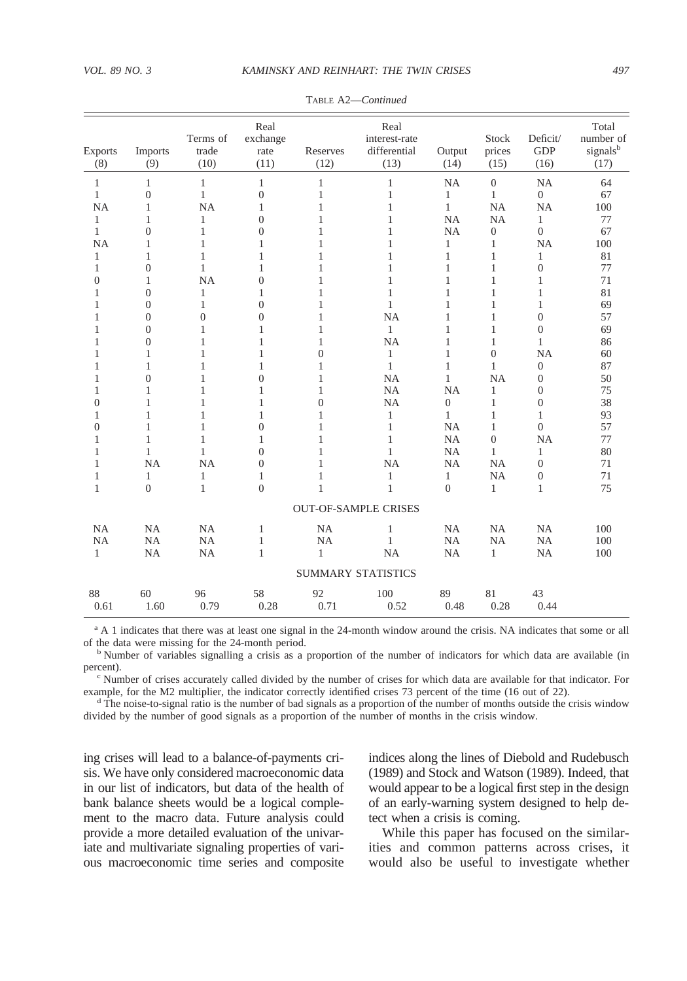| Exports<br>(8) | Imports<br>(9) | Terms of<br>trade<br>(10) | Real<br>exchange<br>rate<br>(11) | Reserves<br>(12) | Real<br>interest-rate<br>differential<br>(13) | Output<br>(14) | Stock<br>prices<br>(15) | Deficit/<br><b>GDP</b><br>(16) | Total<br>number of<br>signalsb<br>(17) |
|----------------|----------------|---------------------------|----------------------------------|------------------|-----------------------------------------------|----------------|-------------------------|--------------------------------|----------------------------------------|
| $\mathbf{1}$   | $\mathbf{1}$   | $\mathbf{1}$              | $\mathbf{1}$                     | $\mathbf{1}$     | $\mathbf{1}$                                  | NA             | $\Omega$                | <b>NA</b>                      | 64                                     |
| 1              | $\overline{0}$ | $\mathbf{1}$              | $\mathbf{0}$                     | 1                | $\mathbf{1}$                                  | 1              | 1                       | $\theta$                       | 67                                     |
| NA             | 1              | <b>NA</b>                 | $\mathbf{1}$                     | 1                | $\mathbf{1}$                                  | $\mathbf{1}$   | <b>NA</b>               | <b>NA</b>                      | 100                                    |
| $\mathbf{1}$   | $\mathbf{1}$   | $\mathbf{1}$              | $\boldsymbol{0}$                 | 1                | $\mathbf{1}$                                  | NA             | <b>NA</b>               | $\mathbf{1}$                   | 77                                     |
| $\mathbf{1}$   | $\overline{0}$ | $\mathbf{1}$              | $\mathbf{0}$                     | 1                | $\mathbf{1}$                                  | <b>NA</b>      | $\theta$                | $\Omega$                       | 67                                     |
| NA             | 1              | 1                         | $\mathbf{1}$                     | 1                | $\mathbf{1}$                                  | $\mathbf{1}$   | $\mathbf{1}$            | NA                             | 100                                    |
| $\mathbf{1}$   | 1              | $\mathbf{1}$              | 1                                | 1                | $\mathbf{1}$                                  | $\mathbf{1}$   | $\mathbf{1}$            | $\mathbf{1}$                   | 81                                     |
| 1              | $\overline{0}$ | $\mathbf{1}$              | 1                                | 1                | $\mathbf{1}$                                  | 1              | 1                       | $\theta$                       | 77                                     |
| $\overline{0}$ | 1              | <b>NA</b>                 | $\mathbf{0}$                     | 1                | $\mathbf{1}$                                  | $\mathbf{1}$   | 1                       | 1                              | 71                                     |
| 1              | $\overline{0}$ | $\mathbf{1}$              | $\mathbf{1}$                     | 1                | $\mathbf{1}$                                  | $\mathbf{1}$   | $\mathbf{1}$            | $\mathbf{1}$                   | 81                                     |
| 1              | $\overline{0}$ | $\mathbf{1}$              | $\mathbf{0}$                     | 1                | $\mathbf{1}$                                  | $\mathbf{1}$   | 1                       | 1                              | 69                                     |
| 1              | $\Omega$       | $\overline{0}$            | $\mathbf{0}$                     | 1                | NA                                            | $\mathbf{1}$   | $\mathbf{1}$            | $\theta$                       | 57                                     |
| 1              | $\Omega$       | $\mathbf{1}$              | 1                                | 1                | $\mathbf{1}$                                  | 1              | $\mathbf{1}$            | $\Omega$                       | 69                                     |
| 1              | $\overline{0}$ | 1                         | 1                                | 1                | NA                                            | $\mathbf{1}$   | 1                       | $\mathbf{1}$                   | 86                                     |
| 1              | 1              | $\mathbf{1}$              | $\mathbf{1}$                     | $\boldsymbol{0}$ | $\mathbf{1}$                                  | 1              | $\theta$                | NA                             | 60                                     |
| 1              | 1              | 1                         | 1                                | 1                | $\mathbf{1}$                                  | $\mathbf{1}$   | $\mathbf{1}$            | $\theta$                       | 87                                     |
| 1              | $\Omega$       | $\mathbf{1}$              | $\overline{0}$                   | 1                | NA                                            | $\mathbf{1}$   | <b>NA</b>               | $\overline{0}$                 | 50                                     |
| 1              | 1              | 1                         | 1                                | 1                | NA                                            | NA             | $\mathbf{1}$            | $\Omega$                       | 75                                     |
| $\Omega$       | $\mathbf{1}$   | 1                         | 1                                | $\overline{0}$   | NA                                            | $\overline{0}$ | $\mathbf{1}$            | $\theta$                       | 38                                     |
| 1              | 1              | $\mathbf{1}$              | 1                                | 1                | $\mathbf{1}$                                  | $\mathbf{1}$   | $\mathbf{1}$            | $\mathbf{1}$                   | 93                                     |
| $\overline{0}$ | 1              | $\mathbf{1}$              | $\mathbf{0}$                     | 1                | $\mathbf{1}$                                  | NA             | 1                       | $\theta$                       | 57                                     |
| 1              | $\mathbf{1}$   | $\mathbf{1}$              | 1                                | 1                | $\mathbf{1}$                                  | NA             | $\theta$                | <b>NA</b>                      | 77                                     |
| 1              | 1              | $\mathbf{1}$              | $\mathbf{0}$                     | 1                | $\mathbf{1}$                                  | NA             | $\mathbf{1}$            | 1                              | 80                                     |
| 1              | NA             | <b>NA</b>                 | $\boldsymbol{0}$                 | 1                | NA                                            | <b>NA</b>      | <b>NA</b>               | $\Omega$                       | 71                                     |
| 1              | $\mathbf{1}$   | $\mathbf{1}$              | $\mathbf{1}$                     | 1                | $\mathbf{1}$                                  | 1              | <b>NA</b>               | $\overline{0}$                 | 71                                     |
| 1              | $\overline{0}$ | $\mathbf{1}$              | $\overline{0}$                   | 1                | $\mathbf{1}$                                  | $\overline{0}$ | $\mathbf{1}$            | $\mathbf{1}$                   | 75                                     |
|                |                |                           |                                  |                  | <b>OUT-OF-SAMPLE CRISES</b>                   |                |                         |                                |                                        |
| NA             | NA             | <b>NA</b>                 | $\mathbf{1}$                     | <b>NA</b>        | $\mathbf{1}$                                  | NA             | <b>NA</b>               | <b>NA</b>                      | 100                                    |
| NA             | NA             | <b>NA</b>                 | $\mathbf{1}$                     | <b>NA</b>        | $\mathbf{1}$                                  | NA             | <b>NA</b>               | NA                             | 100                                    |
| $\mathbf{1}$   | NA             | <b>NA</b>                 | $\mathbf{1}$                     | 1                | NA                                            | NA             | $\mathbf{1}$            | NA                             | 100                                    |
|                |                |                           |                                  |                  | <b>SUMMARY STATISTICS</b>                     |                |                         |                                |                                        |
|                |                |                           |                                  |                  |                                               |                |                         |                                |                                        |
| 88<br>0.61     | 60<br>1.60     | 96<br>0.79                | 58<br>0.28                       | 92<br>0.71       | 100<br>0.52                                   | 89<br>0.48     | 81<br>0.28              | 43<br>0.44                     |                                        |

TABLE A2—*Continued*

<sup>a</sup> A 1 indicates that there was at least one signal in the 24-month window around the crisis. NA indicates that some or all of the data were missing for the 24-month period.

<sup>b</sup> Number of variables signalling a crisis as a proportion of the number of indicators for which data are available (in

percent).<br><sup>c</sup> Number of crises accurately called divided by the number of crises for which data are available for that indicator. For<br>example, for the M2 multiplier, the indicator correctly identified crises 73 percent of

<sup>d</sup> The noise-to-signal ratio is the number of bad signals as a proportion of the number of months outside the crisis window divided by the number of good signals as a proportion of the number of months in the crisis window.

ing crises will lead to a balance-of-payments crisis. We have only considered macroeconomic data in our list of indicators, but data of the health of bank balance sheets would be a logical complement to the macro data. Future analysis could provide a more detailed evaluation of the univariate and multivariate signaling properties of various macroeconomic time series and composite indices along the lines of Diebold and Rudebusch (1989) and Stock and Watson (1989). Indeed, that would appear to be a logical first step in the design of an early-warning system designed to help detect when a crisis is coming.

While this paper has focused on the similarities and common patterns across crises, it would also be useful to investigate whether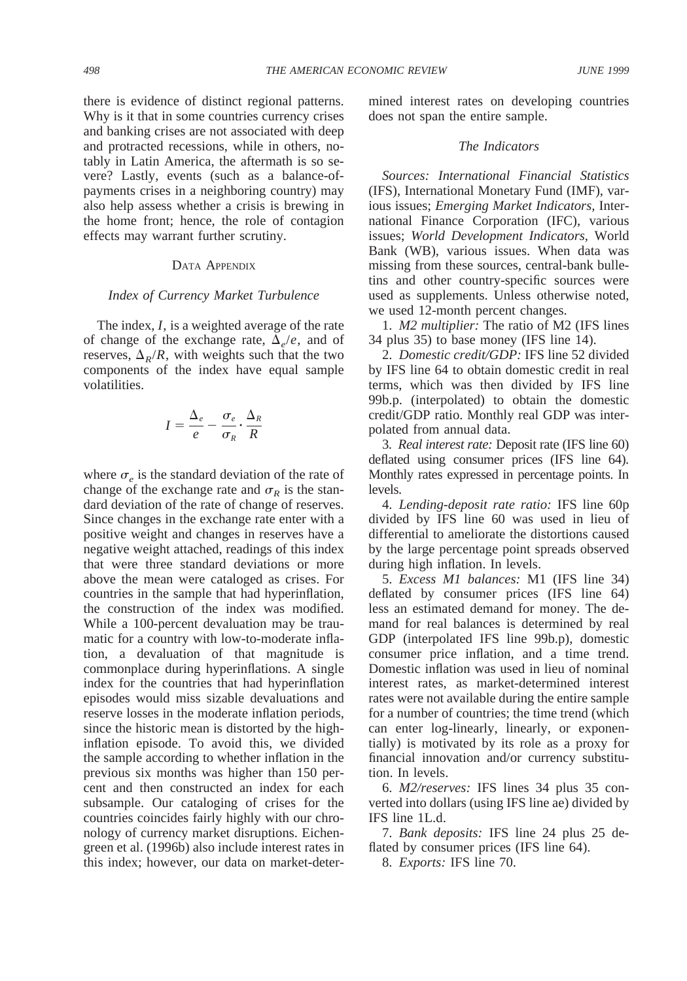there is evidence of distinct regional patterns. Why is it that in some countries currency crises and banking crises are not associated with deep and protracted recessions, while in others, notably in Latin America, the aftermath is so severe? Lastly, events (such as a balance-ofpayments crises in a neighboring country) may also help assess whether a crisis is brewing in the home front; hence, the role of contagion effects may warrant further scrutiny.

## DATA APPENDIX

#### *Index of Currency Market Turbulence*

The index, *I*, is a weighted average of the rate of change of the exchange rate,  $\Delta_e/e$ , and of reserves,  $\Delta_R/R$ , with weights such that the two components of the index have equal sample volatilities.

$$
I = \frac{\Delta_e}{e} - \frac{\sigma_e}{\sigma_R} \cdot \frac{\Delta_R}{R}
$$

where  $\sigma_e$  is the standard deviation of the rate of change of the exchange rate and  $\sigma_R$  is the standard deviation of the rate of change of reserves. Since changes in the exchange rate enter with a positive weight and changes in reserves have a negative weight attached, readings of this index that were three standard deviations or more above the mean were cataloged as crises. For countries in the sample that had hyperinflation, the construction of the index was modified. While a 100-percent devaluation may be traumatic for a country with low-to-moderate inflation, a devaluation of that magnitude is commonplace during hyperinflations. A single index for the countries that had hyperinflation episodes would miss sizable devaluations and reserve losses in the moderate inflation periods, since the historic mean is distorted by the highinflation episode. To avoid this, we divided the sample according to whether inflation in the previous six months was higher than 150 percent and then constructed an index for each subsample. Our cataloging of crises for the countries coincides fairly highly with our chronology of currency market disruptions. Eichengreen et al. (1996b) also include interest rates in this index; however, our data on market-determined interest rates on developing countries does not span the entire sample.

## *The Indicators*

*Sources: International Financial Statistics* (IFS), International Monetary Fund (IMF), various issues; *Emerging Market Indicators,* International Finance Corporation (IFC), various issues; *World Development Indicators,* World Bank (WB), various issues. When data was missing from these sources, central-bank bulletins and other country-specific sources were used as supplements. Unless otherwise noted, we used 12-month percent changes.

1. *M2 multiplier:* The ratio of M2 (IFS lines 34 plus 35) to base money (IFS line 14).

2. *Domestic credit/GDP:* IFS line 52 divided by IFS line 64 to obtain domestic credit in real terms, which was then divided by IFS line 99b.p. (interpolated) to obtain the domestic credit/GDP ratio. Monthly real GDP was interpolated from annual data.

3. *Real interest rate:* Deposit rate (IFS line 60) deflated using consumer prices (IFS line 64). Monthly rates expressed in percentage points. In levels.

4. *Lending-deposit rate ratio:* IFS line 60p divided by IFS line 60 was used in lieu of differential to ameliorate the distortions caused by the large percentage point spreads observed during high inflation. In levels.

5. *Excess M1 balances:* M1 (IFS line 34) deflated by consumer prices (IFS line 64) less an estimated demand for money. The demand for real balances is determined by real GDP (interpolated IFS line 99b.p), domestic consumer price inflation, and a time trend. Domestic inflation was used in lieu of nominal interest rates, as market-determined interest rates were not available during the entire sample for a number of countries; the time trend (which can enter log-linearly, linearly, or exponentially) is motivated by its role as a proxy for financial innovation and/or currency substitution. In levels.

6. *M2/reserves:* IFS lines 34 plus 35 converted into dollars (using IFS line ae) divided by IFS line 1L.d.

7. *Bank deposits:* IFS line 24 plus 25 deflated by consumer prices (IFS line 64).

8. *Exports:* IFS line 70.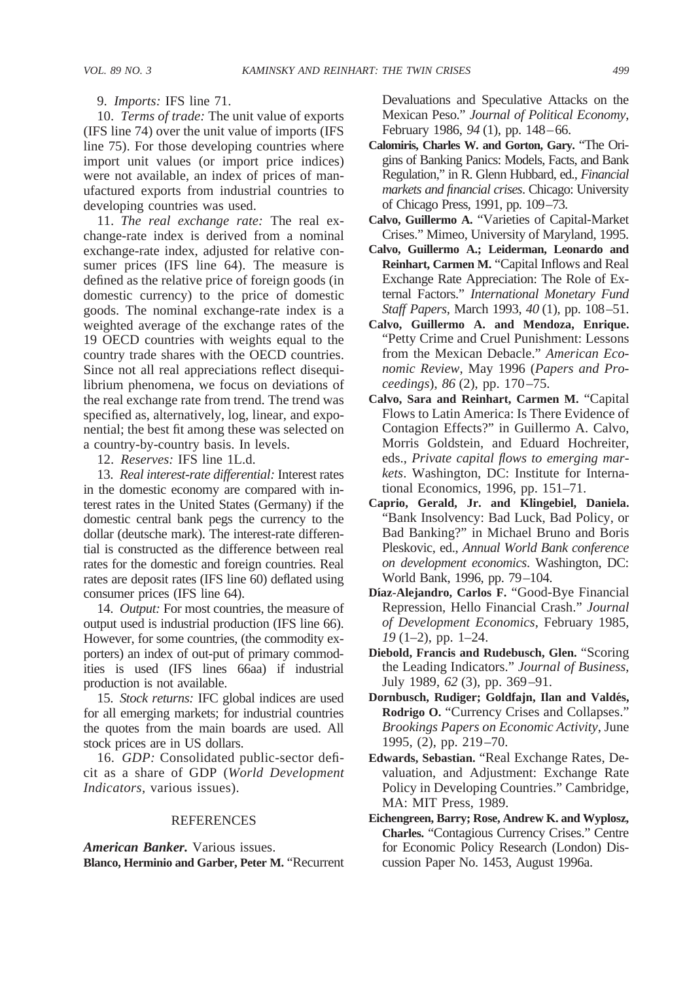9. *Imports:* IFS line 71.

10. *Terms of trade:* The unit value of exports (IFS line 74) over the unit value of imports (IFS line 75). For those developing countries where import unit values (or import price indices) were not available, an index of prices of manufactured exports from industrial countries to developing countries was used.

11. *The real exchange rate:* The real exchange-rate index is derived from a nominal exchange-rate index, adjusted for relative consumer prices (IFS line 64). The measure is defined as the relative price of foreign goods (in domestic currency) to the price of domestic goods. The nominal exchange-rate index is a weighted average of the exchange rates of the 19 OECD countries with weights equal to the country trade shares with the OECD countries. Since not all real appreciations reflect disequilibrium phenomena, we focus on deviations of the real exchange rate from trend. The trend was specified as, alternatively, log, linear, and exponential; the best fit among these was selected on a country-by-country basis. In levels.

12. *Reserves:* IFS line 1L.d.

13. *Real interest-rate differential:* Interest rates in the domestic economy are compared with interest rates in the United States (Germany) if the domestic central bank pegs the currency to the dollar (deutsche mark). The interest-rate differential is constructed as the difference between real rates for the domestic and foreign countries. Real rates are deposit rates (IFS line 60) deflated using consumer prices (IFS line 64).

14. *Output:* For most countries, the measure of output used is industrial production (IFS line 66). However, for some countries, (the commodity exporters) an index of out-put of primary commodities is used (IFS lines 66aa) if industrial production is not available.

15. *Stock returns:* IFC global indices are used for all emerging markets; for industrial countries the quotes from the main boards are used. All stock prices are in US dollars.

16. *GDP:* Consolidated public-sector deficit as a share of GDP (*World Development Indicators*, various issues).

## REFERENCES

*American Banker.* Various issues. **Blanco, Herminio and Garber, Peter M.** "Recurrent Devaluations and Speculative Attacks on the Mexican Peso." *Journal of Political Economy*, February 1986, *94* (1), pp. 148–66.

- **Calomiris, Charles W. and Gorton, Gary.** "The Origins of Banking Panics: Models, Facts, and Bank Regulation," in R. Glenn Hubbard, ed., *Financial markets and financial crises*. Chicago: University of Chicago Press, 1991, pp. 109–73.
- **Calvo, Guillermo A.** "Varieties of Capital-Market Crises." Mimeo, University of Maryland, 1995.
- **Calvo, Guillermo A.; Leiderman, Leonardo and Reinhart, Carmen M.** "Capital Inflows and Real Exchange Rate Appreciation: The Role of External Factors." *International Monetary Fund Staff Papers*, March 1993, *40* (1), pp. 108–51.
- **Calvo, Guillermo A. and Mendoza, Enrique.** "Petty Crime and Cruel Punishment: Lessons from the Mexican Debacle." *American Economic Review*, May 1996 (*Papers and Proceedings*), *86* (2), pp. 170–75.
- **Calvo, Sara and Reinhart, Carmen M.** "Capital Flows to Latin America: Is There Evidence of Contagion Effects?" in Guillermo A. Calvo, Morris Goldstein, and Eduard Hochreiter, eds., *Private capital flows to emerging markets*. Washington, DC: Institute for International Economics, 1996, pp. 151–71.
- **Caprio, Gerald, Jr. and Klingebiel, Daniela.** "Bank Insolvency: Bad Luck, Bad Policy, or Bad Banking?" in Michael Bruno and Boris Pleskovic, ed., *Annual World Bank conference on development economics*. Washington, DC: World Bank, 1996, pp. 79–104.
- Díaz-Alejandro, Carlos F. "Good-Bye Financial Repression, Hello Financial Crash." *Journal of Development Economics*, February 1985, *19* (1–2), pp. 1–24.
- **Diebold, Francis and Rudebusch, Glen.** "Scoring the Leading Indicators." *Journal of Business*, July 1989, *62* (3), pp. 369–91.
- Dornbusch, Rudiger; Goldfajn, Ilan and Valdés, **Rodrigo O.** "Currency Crises and Collapses." *Brookings Papers on Economic Activity*, June 1995, (2), pp. 219–70.
- **Edwards, Sebastian.** "Real Exchange Rates, Devaluation, and Adjustment: Exchange Rate Policy in Developing Countries." Cambridge, MA: MIT Press, 1989.
- **Eichengreen, Barry; Rose, Andrew K. and Wyplosz, Charles.** "Contagious Currency Crises." Centre for Economic Policy Research (London) Discussion Paper No. 1453, August 1996a.